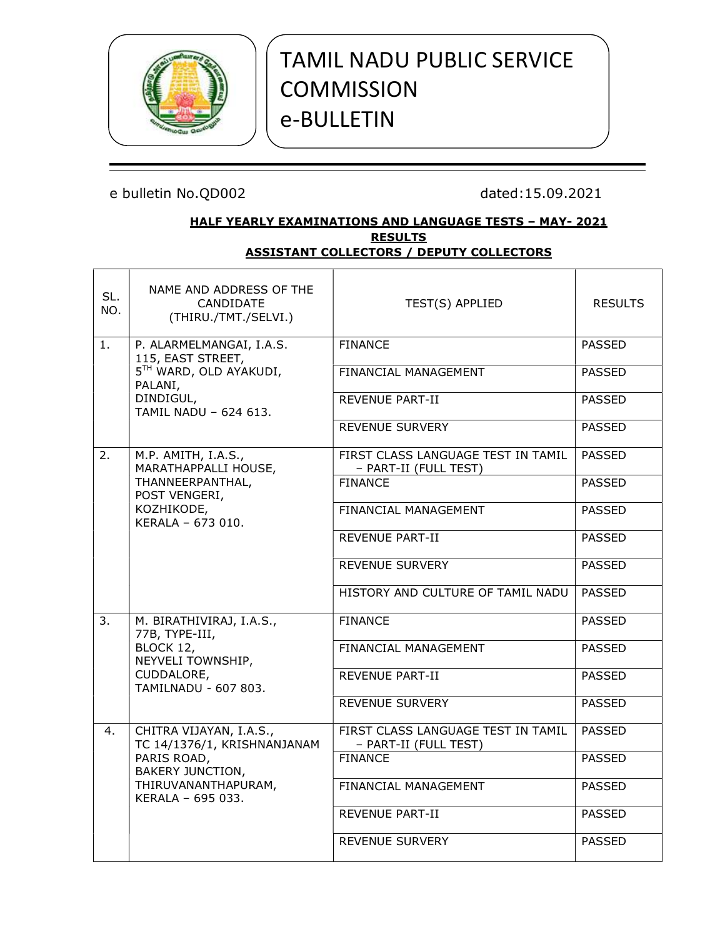

# TAMIL NADU PUBLIC SERVICE **COMMISSION** e-BULLETIN

## HALF YEARLY EXAMINATIONS AND LANGUAGE TESTS – MAY- 2021 **RESULTS** ASSISTANT COLLECTORS / DEPUTY COLLECTORS

| SL.<br>NO. | NAME AND ADDRESS OF THE<br>CANDIDATE<br>(THIRU./TMT./SELVI.) | TEST(S) APPLIED                                             | <b>RESULTS</b> |  |
|------------|--------------------------------------------------------------|-------------------------------------------------------------|----------------|--|
| 1.         | P. ALARMELMANGAI, I.A.S.<br>115, EAST STREET,                | <b>FINANCE</b>                                              | <b>PASSED</b>  |  |
|            | 5TH WARD, OLD AYAKUDI,<br>PALANI,                            | FINANCIAL MANAGEMENT                                        | <b>PASSED</b>  |  |
|            | DINDIGUL,<br>TAMIL NADU - 624 613.                           | <b>REVENUE PART-II</b>                                      | <b>PASSED</b>  |  |
|            |                                                              | <b>REVENUE SURVERY</b>                                      | <b>PASSED</b>  |  |
| 2.         | M.P. AMITH, I.A.S.,<br>MARATHAPPALLI HOUSE,                  | FIRST CLASS LANGUAGE TEST IN TAMIL<br>- PART-II (FULL TEST) | <b>PASSED</b>  |  |
|            | THANNEERPANTHAL,<br>POST VENGERI,                            | <b>FINANCE</b>                                              | <b>PASSED</b>  |  |
|            | KOZHIKODE,<br>KERALA - 673 010.                              | FINANCIAL MANAGEMENT                                        | <b>PASSED</b>  |  |
|            |                                                              | REVENUE PART-II                                             | <b>PASSED</b>  |  |
|            |                                                              | REVENUE SURVERY                                             | <b>PASSED</b>  |  |
|            |                                                              | HISTORY AND CULTURE OF TAMIL NADU                           | PASSED         |  |
| 3.         | M. BIRATHIVIRAJ, I.A.S.,<br>77B, TYPE-III,                   | <b>FINANCE</b>                                              | <b>PASSED</b>  |  |
|            | BLOCK 12,<br>NEYVELI TOWNSHIP,                               | FINANCIAL MANAGEMENT                                        | <b>PASSED</b>  |  |
|            | CUDDALORE,<br>TAMILNADU - 607 803.                           | REVENUE PART-II                                             | <b>PASSED</b>  |  |
|            |                                                              | <b>REVENUE SURVERY</b>                                      | <b>PASSED</b>  |  |
| 4.         | CHITRA VIJAYAN, I.A.S.,<br>TC 14/1376/1, KRISHNANJANAM       | FIRST CLASS LANGUAGE TEST IN TAMIL<br>- PART-II (FULL TEST) | <b>PASSED</b>  |  |
|            | PARIS ROAD,<br><b>BAKERY JUNCTION,</b>                       | <b>FINANCE</b>                                              | <b>PASSED</b>  |  |
|            | THIRUVANANTHAPURAM,<br>KERALA - 695 033.                     | FINANCIAL MANAGEMENT                                        | <b>PASSED</b>  |  |
|            |                                                              | REVENUE PART-II                                             | <b>PASSED</b>  |  |
|            |                                                              | <b>REVENUE SURVERY</b>                                      | <b>PASSED</b>  |  |
|            |                                                              |                                                             |                |  |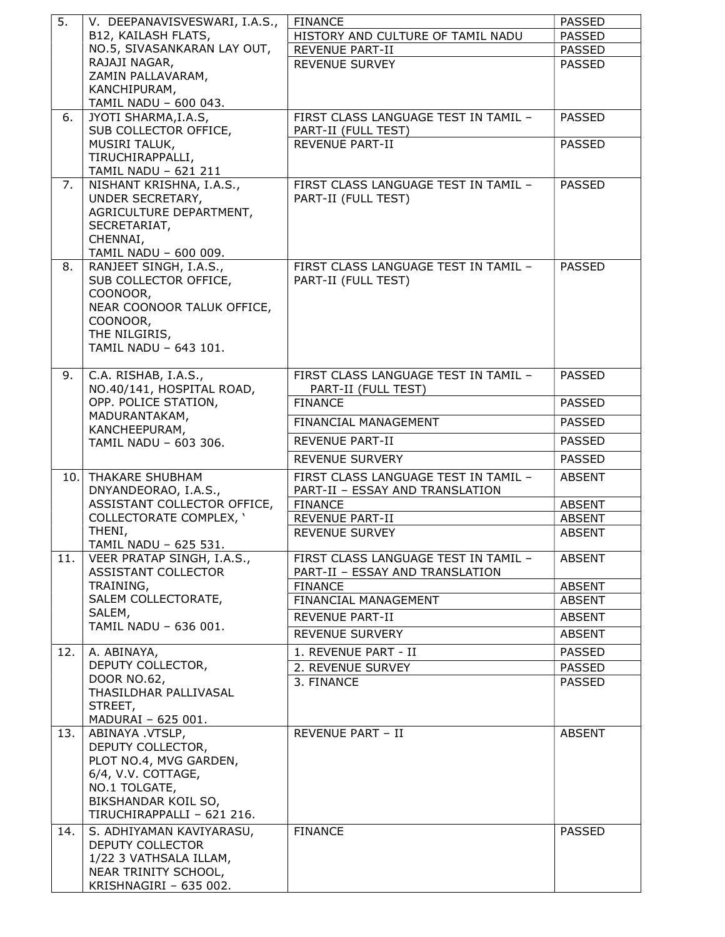| 5.  | V. DEEPANAVISVESWARI, I.A.S.,                       | <b>FINANCE</b>                                              | <b>PASSED</b> |
|-----|-----------------------------------------------------|-------------------------------------------------------------|---------------|
|     | B12, KAILASH FLATS,                                 | HISTORY AND CULTURE OF TAMIL NADU                           | <b>PASSED</b> |
|     | NO.5, SIVASANKARAN LAY OUT,                         | REVENUE PART-II                                             | <b>PASSED</b> |
|     | RAJAJI NAGAR,                                       | <b>REVENUE SURVEY</b>                                       | <b>PASSED</b> |
|     | ZAMIN PALLAVARAM,                                   |                                                             |               |
|     | KANCHIPURAM,<br>TAMIL NADU - 600 043.               |                                                             |               |
| 6.  | JYOTI SHARMA, I.A.S,                                | FIRST CLASS LANGUAGE TEST IN TAMIL -                        | <b>PASSED</b> |
|     | SUB COLLECTOR OFFICE,                               | PART-II (FULL TEST)                                         |               |
|     | MUSIRI TALUK,                                       | <b>REVENUE PART-II</b>                                      | <b>PASSED</b> |
|     | TIRUCHIRAPPALLI,                                    |                                                             |               |
|     | TAMIL NADU - 621 211                                |                                                             |               |
| 7.  | NISHANT KRISHNA, I.A.S.,                            | FIRST CLASS LANGUAGE TEST IN TAMIL -                        | <b>PASSED</b> |
|     | UNDER SECRETARY,                                    | PART-II (FULL TEST)                                         |               |
|     | AGRICULTURE DEPARTMENT,                             |                                                             |               |
|     | SECRETARIAT,                                        |                                                             |               |
|     | CHENNAI,                                            |                                                             |               |
|     | TAMIL NADU - 600 009.<br>RANJEET SINGH, I.A.S.,     |                                                             |               |
| 8.  | SUB COLLECTOR OFFICE,                               | FIRST CLASS LANGUAGE TEST IN TAMIL -<br>PART-II (FULL TEST) | <b>PASSED</b> |
|     | COONOOR,                                            |                                                             |               |
|     | NEAR COONOOR TALUK OFFICE,                          |                                                             |               |
|     | COONOOR,                                            |                                                             |               |
|     | THE NILGIRIS,                                       |                                                             |               |
|     | TAMIL NADU - 643 101.                               |                                                             |               |
|     |                                                     |                                                             |               |
| 9.  | C.A. RISHAB, I.A.S.,                                | FIRST CLASS LANGUAGE TEST IN TAMIL -                        | <b>PASSED</b> |
|     | NO.40/141, HOSPITAL ROAD,                           | PART-II (FULL TEST)                                         |               |
|     | OPP. POLICE STATION,                                | <b>FINANCE</b>                                              | <b>PASSED</b> |
|     | MADURANTAKAM,<br>KANCHEEPURAM,                      | FINANCIAL MANAGEMENT                                        | <b>PASSED</b> |
|     | TAMIL NADU - 603 306.                               | <b>REVENUE PART-II</b>                                      | <b>PASSED</b> |
|     |                                                     | <b>REVENUE SURVERY</b>                                      | <b>PASSED</b> |
|     |                                                     |                                                             |               |
|     | 10. THAKARE SHUBHAM                                 | FIRST CLASS LANGUAGE TEST IN TAMIL -                        | <b>ABSENT</b> |
|     | DNYANDEORAO, I.A.S.,<br>ASSISTANT COLLECTOR OFFICE, | PART-II - ESSAY AND TRANSLATION<br><b>FINANCE</b>           | <b>ABSENT</b> |
|     | <b>COLLECTORATE COMPLEX, '</b>                      | <b>REVENUE PART-II</b>                                      | <b>ABSENT</b> |
|     | THENI,                                              | REVENUE SURVEY                                              | <b>ABSENT</b> |
|     | <b>TAMIL NADU - 625 531.</b>                        |                                                             |               |
| 11. | VEER PRATAP SINGH, I.A.S.,                          | FIRST CLASS LANGUAGE TEST IN TAMIL -                        | ABSENT        |
|     | ASSISTANT COLLECTOR                                 | PART-II - ESSAY AND TRANSLATION                             |               |
|     | TRAINING,                                           | <b>FINANCE</b>                                              | ABSENT        |
|     | SALEM COLLECTORATE,                                 | FINANCIAL MANAGEMENT                                        | <b>ABSENT</b> |
|     | SALEM,<br>TAMIL NADU - 636 001.                     | <b>REVENUE PART-II</b>                                      | <b>ABSENT</b> |
|     |                                                     | <b>REVENUE SURVERY</b>                                      | ABSENT        |
| 12. | A. ABINAYA,                                         | 1. REVENUE PART - II                                        | <b>PASSED</b> |
|     | DEPUTY COLLECTOR,                                   | 2. REVENUE SURVEY                                           | <b>PASSED</b> |
|     | DOOR NO.62,                                         | 3. FINANCE                                                  | <b>PASSED</b> |
|     | THASILDHAR PALLIVASAL                               |                                                             |               |
|     | STREET,                                             |                                                             |               |
|     | MADURAI - 625 001.                                  |                                                             |               |
| 13. | ABINAYA .VTSLP,<br>DEPUTY COLLECTOR,                | <b>REVENUE PART - II</b>                                    | <b>ABSENT</b> |
|     | PLOT NO.4, MVG GARDEN,                              |                                                             |               |
|     | 6/4, V.V. COTTAGE,                                  |                                                             |               |
|     | NO.1 TOLGATE,                                       |                                                             |               |
|     | BIKSHANDAR KOIL SO,                                 |                                                             |               |
|     | TIRUCHIRAPPALLI - 621 216.                          |                                                             |               |
| 14. | S. ADHIYAMAN KAVIYARASU,                            | <b>FINANCE</b>                                              | <b>PASSED</b> |
|     | DEPUTY COLLECTOR                                    |                                                             |               |
|     | 1/22 3 VATHSALA ILLAM,                              |                                                             |               |
|     | NEAR TRINITY SCHOOL,                                |                                                             |               |
|     | KRISHNAGIRI - 635 002.                              |                                                             |               |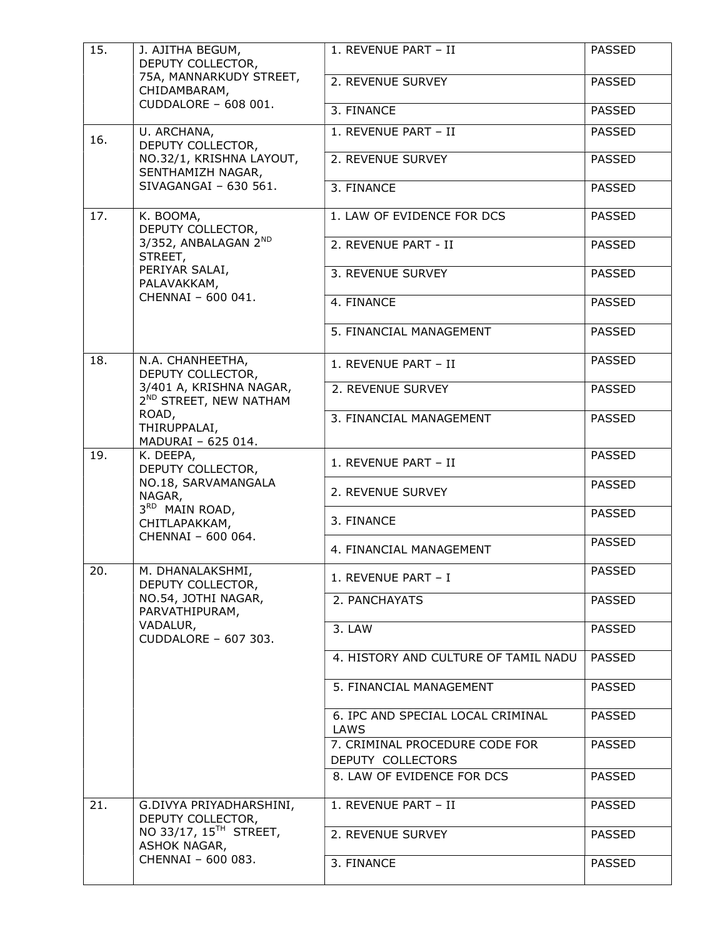| 15. | J. AJITHA BEGUM,<br>DEPUTY COLLECTOR,                                                                              | 1. REVENUE PART - II                                | <b>PASSED</b> |
|-----|--------------------------------------------------------------------------------------------------------------------|-----------------------------------------------------|---------------|
|     | 75A, MANNARKUDY STREET,<br>CHIDAMBARAM,                                                                            | 2. REVENUE SURVEY                                   | <b>PASSED</b> |
|     | CUDDALORE - 608 001.                                                                                               | 3. FINANCE                                          | <b>PASSED</b> |
| 16. | U. ARCHANA,<br>DEPUTY COLLECTOR,                                                                                   | 1. REVENUE PART - II                                | <b>PASSED</b> |
|     | NO.32/1, KRISHNA LAYOUT,<br>SENTHAMIZH NAGAR,                                                                      | 2. REVENUE SURVEY                                   | <b>PASSED</b> |
|     | SIVAGANGAI - 630 561.                                                                                              | 3. FINANCE                                          | <b>PASSED</b> |
| 17. | K. BOOMA,<br>DEPUTY COLLECTOR,                                                                                     | 1. LAW OF EVIDENCE FOR DCS                          | <b>PASSED</b> |
|     | 3/352, ANBALAGAN 2ND<br>STREET,                                                                                    | 2. REVENUE PART - II                                | <b>PASSED</b> |
|     | PERIYAR SALAI,<br>PALAVAKKAM,                                                                                      | 3. REVENUE SURVEY                                   | <b>PASSED</b> |
|     | CHENNAI - 600 041.                                                                                                 | 4. FINANCE                                          | <b>PASSED</b> |
|     |                                                                                                                    | 5. FINANCIAL MANAGEMENT                             | <b>PASSED</b> |
| 18. | N.A. CHANHEETHA,<br>DEPUTY COLLECTOR,                                                                              | 1. REVENUE PART - II                                | <b>PASSED</b> |
|     | 3/401 A, KRISHNA NAGAR,<br>2 <sup>ND</sup> STREET, NEW NATHAM<br>ROAD,<br>THIRUPPALAI,<br>MADURAI - 625 014.       | 2. REVENUE SURVEY                                   | <b>PASSED</b> |
|     |                                                                                                                    | 3. FINANCIAL MANAGEMENT                             | <b>PASSED</b> |
| 19. | K. DEEPA,<br>DEPUTY COLLECTOR,<br>NO.18, SARVAMANGALA<br>NAGAR,                                                    | 1. REVENUE PART - II                                | <b>PASSED</b> |
|     |                                                                                                                    | 2. REVENUE SURVEY                                   | <b>PASSED</b> |
|     | 3RD MAIN ROAD,<br>CHITLAPAKKAM,                                                                                    | 3. FINANCE                                          | <b>PASSED</b> |
|     | CHENNAI - 600 064.                                                                                                 | 4. FINANCIAL MANAGEMENT                             | <b>PASSED</b> |
| 20. | M. DHANALAKSHMI,<br>DEPUTY COLLECTOR,<br>NO.54, JOTHI NAGAR,<br>PARVATHIPURAM,<br>VADALUR,<br>CUDDALORE - 607 303. | 1. REVENUE PART - I                                 | <b>PASSED</b> |
|     |                                                                                                                    | 2. PANCHAYATS                                       | <b>PASSED</b> |
|     |                                                                                                                    | 3. LAW                                              | <b>PASSED</b> |
|     |                                                                                                                    | 4. HISTORY AND CULTURE OF TAMIL NADU                | <b>PASSED</b> |
|     |                                                                                                                    | 5. FINANCIAL MANAGEMENT                             | <b>PASSED</b> |
|     |                                                                                                                    | 6. IPC AND SPECIAL LOCAL CRIMINAL<br>LAWS           | <b>PASSED</b> |
|     |                                                                                                                    | 7. CRIMINAL PROCEDURE CODE FOR<br>DEPUTY COLLECTORS | <b>PASSED</b> |
|     |                                                                                                                    | 8. LAW OF EVIDENCE FOR DCS                          | <b>PASSED</b> |
| 21. | G.DIVYA PRIYADHARSHINI,<br>DEPUTY COLLECTOR,                                                                       | 1. REVENUE PART - II                                | <b>PASSED</b> |
|     | NO 33/17, 15 <sup>TH</sup> STREET,<br>ASHOK NAGAR,                                                                 | 2. REVENUE SURVEY                                   | <b>PASSED</b> |
|     | CHENNAI - 600 083.                                                                                                 | 3. FINANCE                                          | <b>PASSED</b> |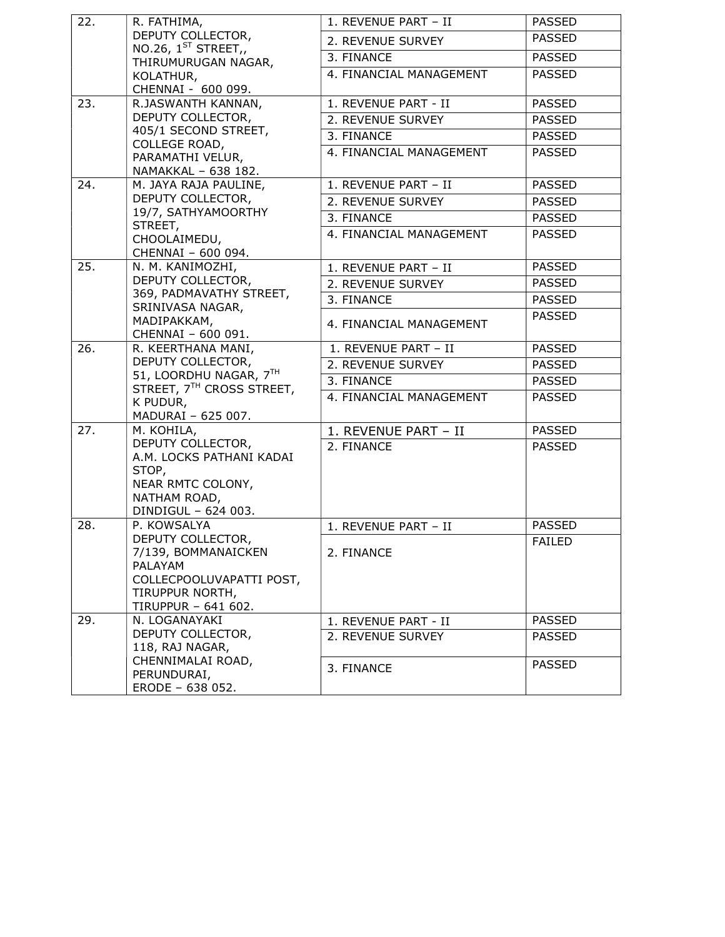| 22. | R. FATHIMA,                                                         | 1. REVENUE PART - II    | <b>PASSED</b> |
|-----|---------------------------------------------------------------------|-------------------------|---------------|
|     | DEPUTY COLLECTOR,<br>NO.26, $1^{ST}$ STREET,<br>THIRUMURUGAN NAGAR, | 2. REVENUE SURVEY       | <b>PASSED</b> |
|     |                                                                     | 3. FINANCE              | <b>PASSED</b> |
|     | KOLATHUR,                                                           | 4. FINANCIAL MANAGEMENT | <b>PASSED</b> |
|     | CHENNAI - 600 099.                                                  |                         |               |
| 23. | R.JASWANTH KANNAN,                                                  | 1. REVENUE PART - II    | <b>PASSED</b> |
|     | DEPUTY COLLECTOR,                                                   | 2. REVENUE SURVEY       | <b>PASSED</b> |
|     | 405/1 SECOND STREET,<br>COLLEGE ROAD,                               | 3. FINANCE              | <b>PASSED</b> |
|     | PARAMATHI VELUR,<br>NAMAKKAL - 638 182.                             | 4. FINANCIAL MANAGEMENT | <b>PASSED</b> |
|     |                                                                     |                         |               |
| 24. | M. JAYA RAJA PAULINE,                                               | 1. REVENUE PART - II    | <b>PASSED</b> |
|     | DEPUTY COLLECTOR,                                                   | 2. REVENUE SURVEY       | <b>PASSED</b> |
|     | 19/7, SATHYAMOORTHY<br>STREET,                                      | 3. FINANCE              | <b>PASSED</b> |
|     | CHOOLAIMEDU,                                                        | 4. FINANCIAL MANAGEMENT | <b>PASSED</b> |
|     | CHENNAI - 600 094.                                                  |                         |               |
| 25. | N. M. KANIMOZHI,                                                    | 1. REVENUE PART - II    | <b>PASSED</b> |
|     | DEPUTY COLLECTOR,                                                   | 2. REVENUE SURVEY       | <b>PASSED</b> |
|     | 369, PADMAVATHY STREET,<br>SRINIVASA NAGAR,                         | 3. FINANCE              | <b>PASSED</b> |
|     | MADIPAKKAM,                                                         | 4. FINANCIAL MANAGEMENT | <b>PASSED</b> |
|     | CHENNAI - 600 091.                                                  |                         |               |
| 26. | R. KEERTHANA MANI,                                                  | 1. REVENUE PART - II    | <b>PASSED</b> |
|     | DEPUTY COLLECTOR,                                                   | 2. REVENUE SURVEY       | <b>PASSED</b> |
|     | 51, LOORDHU NAGAR, 7TH<br>STREET, 7 <sup>TH</sup> CROSS STREET,     | 3. FINANCE              | <b>PASSED</b> |
|     | K PUDUR,                                                            | 4. FINANCIAL MANAGEMENT | <b>PASSED</b> |
|     | MADURAI - 625 007.                                                  |                         |               |
| 27. | M. KOHILA,                                                          | 1. REVENUE PART - II    | <b>PASSED</b> |
|     | DEPUTY COLLECTOR,                                                   | 2. FINANCE              | <b>PASSED</b> |
|     | A.M. LOCKS PATHANI KADAI<br>STOP,                                   |                         |               |
|     | NEAR RMTC COLONY,                                                   |                         |               |
|     | NATHAM ROAD,                                                        |                         |               |
|     | DINDIGUL - 624 003.                                                 |                         |               |
| 28. | P. KOWSALYA                                                         | 1. REVENUE PART - II    | <b>PASSED</b> |
|     | DEPUTY COLLECTOR,<br>7/139, BOMMANAICKEN                            | 2. FINANCE              | <b>FAILED</b> |
|     | PALAYAM                                                             |                         |               |
|     | COLLECPOOLUVAPATTI POST,                                            |                         |               |
|     | TIRUPPUR NORTH,                                                     |                         |               |
|     | TIRUPPUR - 641 602.                                                 |                         |               |
| 29. | N. LOGANAYAKI<br>DEPUTY COLLECTOR,                                  | 1. REVENUE PART - II    | <b>PASSED</b> |
|     | 118, RAJ NAGAR,                                                     | 2. REVENUE SURVEY       | <b>PASSED</b> |
|     | CHENNIMALAI ROAD,                                                   |                         | <b>PASSED</b> |
|     | PERUNDURAI,                                                         | 3. FINANCE              |               |
|     | ERODE - 638 052.                                                    |                         |               |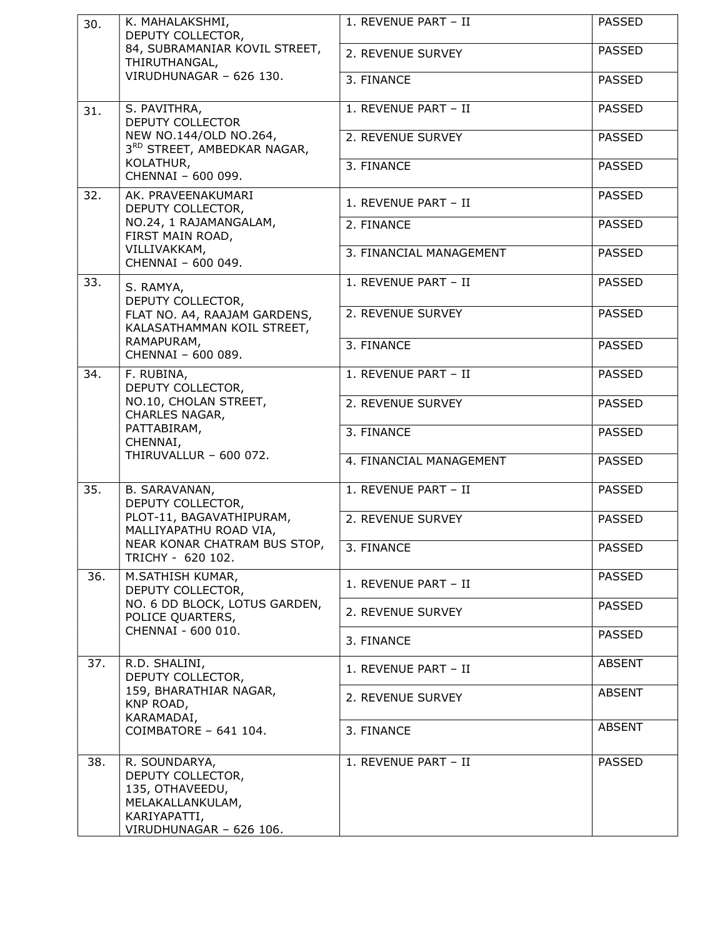| 30. | K. MAHALAKSHMI,<br>DEPUTY COLLECTOR,                                                                                 | 1. REVENUE PART - II    | <b>PASSED</b> |
|-----|----------------------------------------------------------------------------------------------------------------------|-------------------------|---------------|
|     | 84, SUBRAMANIAR KOVIL STREET,<br>THIRUTHANGAL,                                                                       | 2. REVENUE SURVEY       | <b>PASSED</b> |
|     | VIRUDHUNAGAR - 626 130.                                                                                              | 3. FINANCE              | <b>PASSED</b> |
| 31. | S. PAVITHRA,<br>DEPUTY COLLECTOR                                                                                     | 1. REVENUE PART - II    | <b>PASSED</b> |
|     | NEW NO.144/OLD NO.264,<br>3RD STREET, AMBEDKAR NAGAR,                                                                | 2. REVENUE SURVEY       | <b>PASSED</b> |
|     | KOLATHUR,<br>CHENNAI - 600 099.                                                                                      | 3. FINANCE              | <b>PASSED</b> |
| 32. | AK. PRAVEENAKUMARI<br>DEPUTY COLLECTOR,                                                                              | 1. REVENUE PART - II    | <b>PASSED</b> |
|     | NO.24, 1 RAJAMANGALAM,<br>FIRST MAIN ROAD,                                                                           | 2. FINANCE              | <b>PASSED</b> |
|     | VILLIVAKKAM,<br>CHENNAI - 600 049.                                                                                   | 3. FINANCIAL MANAGEMENT | <b>PASSED</b> |
| 33. | S. RAMYA,<br>DEPUTY COLLECTOR,                                                                                       | 1. REVENUE PART - II    | <b>PASSED</b> |
|     | FLAT NO. A4, RAAJAM GARDENS,<br>KALASATHAMMAN KOIL STREET,                                                           | 2. REVENUE SURVEY       | <b>PASSED</b> |
|     | RAMAPURAM,<br>CHENNAI - 600 089.                                                                                     | 3. FINANCE              | <b>PASSED</b> |
| 34. | F. RUBINA,<br>DEPUTY COLLECTOR,                                                                                      | 1. REVENUE PART - II    | <b>PASSED</b> |
|     | NO.10, CHOLAN STREET,<br>CHARLES NAGAR,                                                                              | 2. REVENUE SURVEY       | <b>PASSED</b> |
|     | PATTABIRAM,<br>CHENNAI,                                                                                              | 3. FINANCE              | <b>PASSED</b> |
|     | THIRUVALLUR - 600 072.                                                                                               | 4. FINANCIAL MANAGEMENT | <b>PASSED</b> |
| 35. | B. SARAVANAN,<br>DEPUTY COLLECTOR,                                                                                   | 1. REVENUE PART - II    | <b>PASSED</b> |
|     | PLOT-11, BAGAVATHIPURAM,<br>MALLIYAPATHU ROAD VIA,                                                                   | 2. REVENUE SURVEY       | <b>PASSED</b> |
|     | NEAR KONAR CHATRAM BUS STOP,<br>TRICHY - 620 102.                                                                    | $\sqrt{3}$ . FINANCE    | PASSED        |
| 36. | M.SATHISH KUMAR,<br>DEPUTY COLLECTOR,                                                                                | 1. REVENUE PART - II    | <b>PASSED</b> |
|     | NO. 6 DD BLOCK, LOTUS GARDEN,<br>POLICE QUARTERS,                                                                    | 2. REVENUE SURVEY       | <b>PASSED</b> |
|     | CHENNAI - 600 010.                                                                                                   | 3. FINANCE              | <b>PASSED</b> |
| 37. | R.D. SHALINI,<br>DEPUTY COLLECTOR,                                                                                   | 1. REVENUE PART - II    | <b>ABSENT</b> |
|     | 159, BHARATHIAR NAGAR,<br>KNP ROAD,                                                                                  | 2. REVENUE SURVEY       | <b>ABSENT</b> |
|     | KARAMADAI,<br>COIMBATORE - 641 104.                                                                                  | 3. FINANCE              | <b>ABSENT</b> |
| 38. | R. SOUNDARYA,<br>DEPUTY COLLECTOR,<br>135, OTHAVEEDU,<br>MELAKALLANKULAM,<br>KARIYAPATTI,<br>VIRUDHUNAGAR - 626 106. | 1. REVENUE PART - II    | <b>PASSED</b> |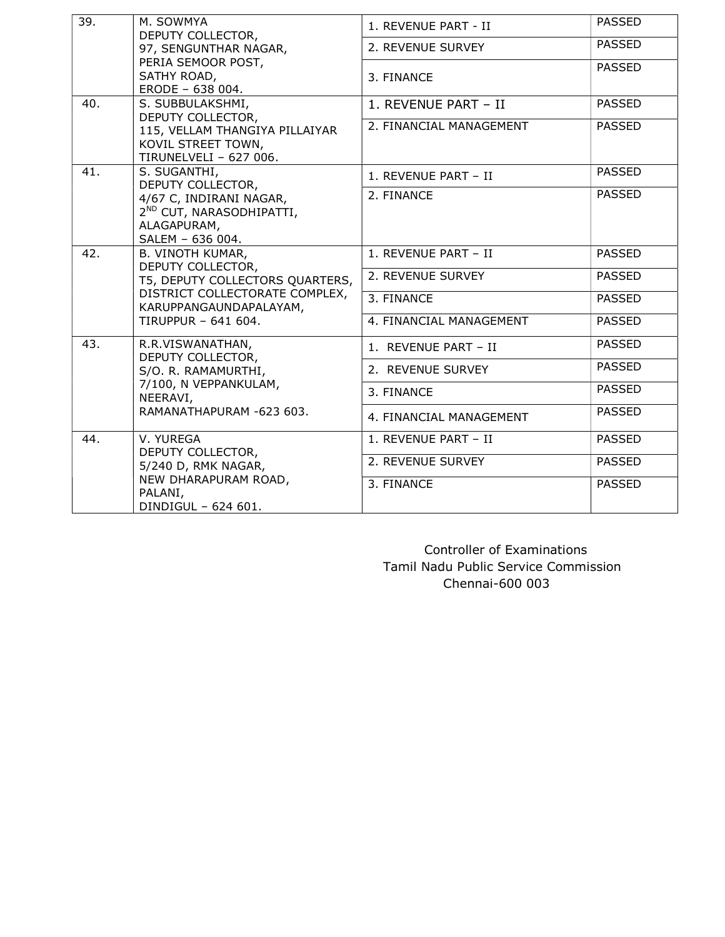| 39. | M. SOWMYA<br>DEPUTY COLLECTOR,<br>97, SENGUNTHAR NAGAR,<br>PERIA SEMOOR POST,<br>SATHY ROAD,<br>ERODE - 638 004.                                                   | 1. REVENUE PART - II    | <b>PASSED</b> |
|-----|--------------------------------------------------------------------------------------------------------------------------------------------------------------------|-------------------------|---------------|
|     |                                                                                                                                                                    | 2. REVENUE SURVEY       | <b>PASSED</b> |
|     |                                                                                                                                                                    | 3. FINANCE              | <b>PASSED</b> |
| 40. | S. SUBBULAKSHMI,                                                                                                                                                   | 1. REVENUE PART - II    | <b>PASSED</b> |
|     | DEPUTY COLLECTOR,<br>115, VELLAM THANGIYA PILLAIYAR<br>KOVIL STREET TOWN,<br>TIRUNELVELI - 627 006.                                                                | 2. FINANCIAL MANAGEMENT | <b>PASSED</b> |
| 41. | S. SUGANTHI,<br>DEPUTY COLLECTOR,<br>4/67 C, INDIRANI NAGAR,<br>2 <sup>ND</sup> CUT, NARASODHIPATTI,<br>ALAGAPURAM,<br>SALEM - 636 004.                            | 1. REVENUE PART - II    | <b>PASSED</b> |
|     |                                                                                                                                                                    | 2. FINANCE              | <b>PASSED</b> |
| 42. | <b>B. VINOTH KUMAR,</b><br>DEPUTY COLLECTOR,<br>T5, DEPUTY COLLECTORS QUARTERS,<br>DISTRICT COLLECTORATE COMPLEX,<br>KARUPPANGAUNDAPALAYAM,<br>TIRUPPUR - 641 604. | 1. REVENUE PART - II    | <b>PASSED</b> |
|     |                                                                                                                                                                    | 2. REVENUE SURVEY       | <b>PASSED</b> |
|     |                                                                                                                                                                    | 3. FINANCE              | <b>PASSED</b> |
|     |                                                                                                                                                                    | 4. FINANCIAL MANAGEMENT | <b>PASSED</b> |
| 43. | R.R.VISWANATHAN,                                                                                                                                                   | 1. REVENUE PART - II    | <b>PASSED</b> |
|     | DEPUTY COLLECTOR,<br>S/O. R. RAMAMURTHI,<br>7/100, N VEPPANKULAM,<br>NEERAVI,<br>RAMANATHAPURAM -623 603.                                                          | 2. REVENUE SURVEY       | <b>PASSED</b> |
|     |                                                                                                                                                                    | 3. FINANCE              | <b>PASSED</b> |
|     |                                                                                                                                                                    | 4. FINANCIAL MANAGEMENT | <b>PASSED</b> |
| 44. | V. YUREGA                                                                                                                                                          | 1. REVENUE PART - II    | <b>PASSED</b> |
|     | DEPUTY COLLECTOR,<br>5/240 D, RMK NAGAR,<br>NEW DHARAPURAM ROAD,<br>PALANI,<br>DINDIGUL - 624 601.                                                                 | 2. REVENUE SURVEY       | <b>PASSED</b> |
|     |                                                                                                                                                                    | 3. FINANCE              | <b>PASSED</b> |

 Controller of Examinations Tamil Nadu Public Service Commission Chennai-600 003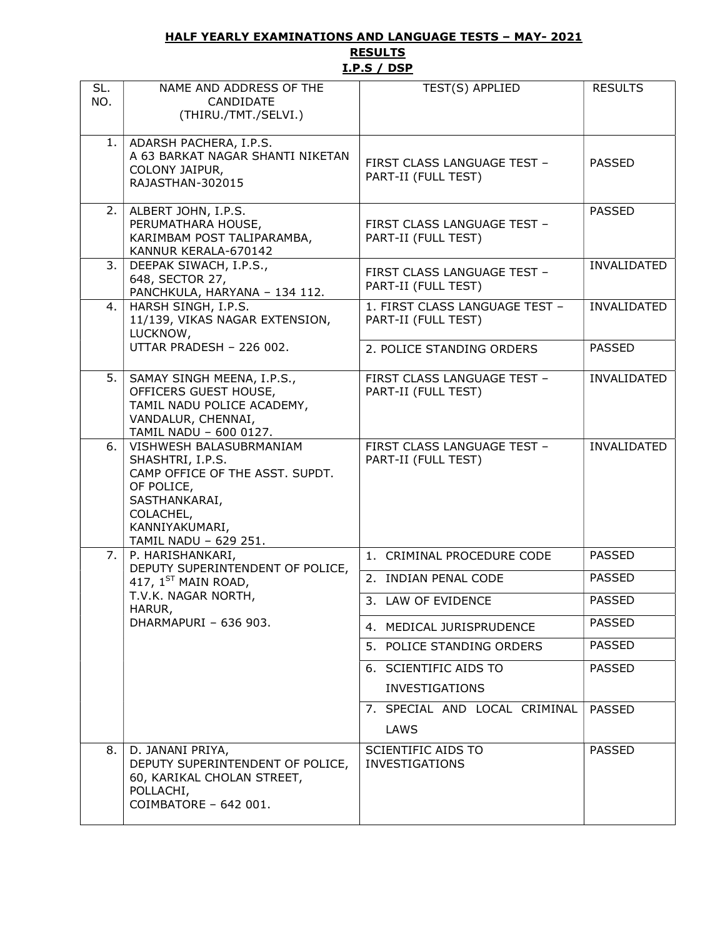#### HALF YEARLY EXAMINATIONS AND LANGUAGE TESTS – MAY- 2021 **RESULTS**

# I.P.S / DSP

| SL.<br>NO. | NAME AND ADDRESS OF THE<br>CANDIDATE<br>(THIRU./TMT./SELVI.)                                                                                                          | TEST(S) APPLIED                                       | <b>RESULTS</b> |
|------------|-----------------------------------------------------------------------------------------------------------------------------------------------------------------------|-------------------------------------------------------|----------------|
| 1.         | ADARSH PACHERA, I.P.S.<br>A 63 BARKAT NAGAR SHANTI NIKETAN<br>COLONY JAIPUR,<br>RAJASTHAN-302015                                                                      | FIRST CLASS LANGUAGE TEST -<br>PART-II (FULL TEST)    | <b>PASSED</b>  |
| 2.         | ALBERT JOHN, I.P.S.<br>PERUMATHARA HOUSE,<br>KARIMBAM POST TALIPARAMBA,<br>KANNUR KERALA-670142                                                                       | FIRST CLASS LANGUAGE TEST -<br>PART-II (FULL TEST)    | <b>PASSED</b>  |
| 3.         | DEEPAK SIWACH, I.P.S.,<br>648, SECTOR 27,<br>PANCHKULA, HARYANA - 134 112.                                                                                            | FIRST CLASS LANGUAGE TEST -<br>PART-II (FULL TEST)    | INVALIDATED    |
| 4.         | HARSH SINGH, I.P.S.<br>11/139, VIKAS NAGAR EXTENSION,<br>LUCKNOW,                                                                                                     | 1. FIRST CLASS LANGUAGE TEST -<br>PART-II (FULL TEST) | INVALIDATED    |
|            | UTTAR PRADESH - 226 002.                                                                                                                                              | 2. POLICE STANDING ORDERS                             | <b>PASSED</b>  |
| 5.         | SAMAY SINGH MEENA, I.P.S.,<br>OFFICERS GUEST HOUSE,<br>TAMIL NADU POLICE ACADEMY,<br>VANDALUR, CHENNAI,<br>TAMIL NADU - 600 0127.                                     | FIRST CLASS LANGUAGE TEST -<br>PART-II (FULL TEST)    | INVALIDATED    |
| 6.         | VISHWESH BALASUBRMANIAM<br>SHASHTRI, I.P.S.<br>CAMP OFFICE OF THE ASST. SUPDT.<br>OF POLICE,<br>SASTHANKARAI,<br>COLACHEL,<br>KANNIYAKUMARI,<br>TAMIL NADU - 629 251. | FIRST CLASS LANGUAGE TEST -<br>PART-II (FULL TEST)    | INVALIDATED    |
|            | 7. P. HARISHANKARI,                                                                                                                                                   | 1. CRIMINAL PROCEDURE CODE                            | <b>PASSED</b>  |
|            | DEPUTY SUPERINTENDENT OF POLICE,<br>417, $1^{ST}$ MAIN ROAD,<br>T.V.K. NAGAR NORTH,<br>HARUR,                                                                         | 2. INDIAN PENAL CODE                                  | <b>PASSED</b>  |
|            |                                                                                                                                                                       | 3. LAW OF EVIDENCE                                    | <b>PASSED</b>  |
|            | DHARMAPURI - 636 903.                                                                                                                                                 | 4. MEDICAL JURISPRUDENCE                              | <b>PASSED</b>  |
|            |                                                                                                                                                                       | 5. POLICE STANDING ORDERS                             | <b>PASSED</b>  |
|            |                                                                                                                                                                       | 6. SCIENTIFIC AIDS TO<br><b>INVESTIGATIONS</b>        | <b>PASSED</b>  |
|            |                                                                                                                                                                       | 7. SPECIAL AND LOCAL CRIMINAL<br>LAWS                 | <b>PASSED</b>  |
| 8.         | D. JANANI PRIYA,<br>DEPUTY SUPERINTENDENT OF POLICE,<br>60, KARIKAL CHOLAN STREET,<br>POLLACHI,<br>COIMBATORE - 642 001.                                              | SCIENTIFIC AIDS TO<br><b>INVESTIGATIONS</b>           | <b>PASSED</b>  |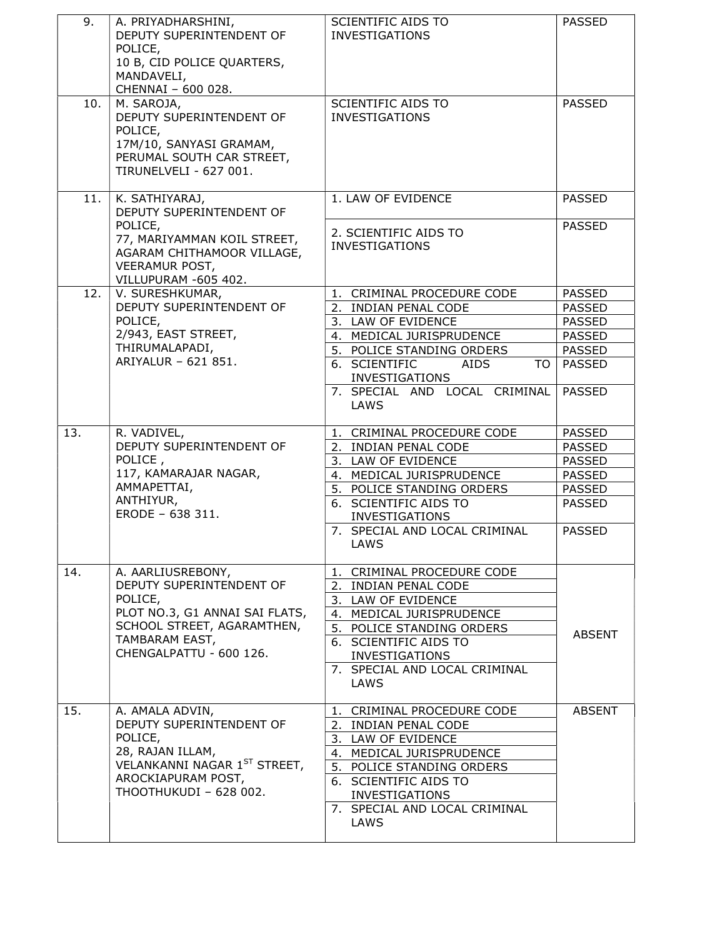| 9.  | A. PRIYADHARSHINI,<br>DEPUTY SUPERINTENDENT OF<br>POLICE,<br>10 B, CID POLICE QUARTERS,<br>MANDAVELI,<br>CHENNAI - 600 028.         | SCIENTIFIC AIDS TO<br><b>INVESTIGATIONS</b>          | <b>PASSED</b> |
|-----|-------------------------------------------------------------------------------------------------------------------------------------|------------------------------------------------------|---------------|
| 10. | M. SAROJA,<br>DEPUTY SUPERINTENDENT OF<br>POLICE,<br>17M/10, SANYASI GRAMAM,<br>PERUMAL SOUTH CAR STREET,<br>TIRUNELVELI - 627 001. | <b>SCIENTIFIC AIDS TO</b><br><b>INVESTIGATIONS</b>   | <b>PASSED</b> |
| 11. | K. SATHIYARAJ,<br>DEPUTY SUPERINTENDENT OF                                                                                          | 1. LAW OF EVIDENCE                                   | <b>PASSED</b> |
|     | POLICE,<br>77, MARIYAMMAN KOIL STREET,<br>AGARAM CHITHAMOOR VILLAGE,<br><b>VEERAMUR POST,</b><br>VILLUPURAM -605 402.               | 2. SCIENTIFIC AIDS TO<br><b>INVESTIGATIONS</b>       | <b>PASSED</b> |
| 12. | V. SURESHKUMAR,                                                                                                                     | 1. CRIMINAL PROCEDURE CODE                           | <b>PASSED</b> |
|     | DEPUTY SUPERINTENDENT OF                                                                                                            | 2. INDIAN PENAL CODE                                 | <b>PASSED</b> |
|     | POLICE,                                                                                                                             | 3. LAW OF EVIDENCE                                   | <b>PASSED</b> |
|     | 2/943, EAST STREET,                                                                                                                 | 4. MEDICAL JURISPRUDENCE                             | <b>PASSED</b> |
|     | THIRUMALAPADI,                                                                                                                      | 5. POLICE STANDING ORDERS                            | <b>PASSED</b> |
|     | ARIYALUR - 621 851.                                                                                                                 | 6. SCIENTIFIC<br>AIDS<br>TO<br><b>INVESTIGATIONS</b> | <b>PASSED</b> |
|     |                                                                                                                                     | 7. SPECIAL AND LOCAL CRIMINAL<br>LAWS                | <b>PASSED</b> |
| 13. | R. VADIVEL,                                                                                                                         | 1. CRIMINAL PROCEDURE CODE                           | <b>PASSED</b> |
|     | DEPUTY SUPERINTENDENT OF                                                                                                            | 2. INDIAN PENAL CODE                                 | <b>PASSED</b> |
|     | POLICE,                                                                                                                             | 3. LAW OF EVIDENCE                                   | <b>PASSED</b> |
|     | 117, KAMARAJAR NAGAR,                                                                                                               | 4. MEDICAL JURISPRUDENCE                             | <b>PASSED</b> |
|     | AMMAPETTAI,                                                                                                                         | 5. POLICE STANDING ORDERS                            | <b>PASSED</b> |
|     | ANTHIYUR,                                                                                                                           | 6. SCIENTIFIC AIDS TO                                | <b>PASSED</b> |
|     | ERODE - 638 311.                                                                                                                    | <b>INVESTIGATIONS</b>                                |               |
|     |                                                                                                                                     | 7. SPECIAL AND LOCAL CRIMINAL<br>LAWS                | <b>PASSED</b> |
| 14. | A. AARLIUSREBONY,                                                                                                                   | 1. CRIMINAL PROCEDURE CODE                           |               |
|     | DEPUTY SUPERINTENDENT OF                                                                                                            | 2. INDIAN PENAL CODE                                 |               |
|     | POLICE,                                                                                                                             | 3. LAW OF EVIDENCE                                   |               |
|     | PLOT NO.3, G1 ANNAI SAI FLATS,                                                                                                      | 4. MEDICAL JURISPRUDENCE                             |               |
|     | SCHOOL STREET, AGARAMTHEN,                                                                                                          | 5. POLICE STANDING ORDERS                            |               |
|     | TAMBARAM EAST,                                                                                                                      | 6. SCIENTIFIC AIDS TO                                | <b>ABSENT</b> |
|     | CHENGALPATTU - 600 126.                                                                                                             | <b>INVESTIGATIONS</b>                                |               |
|     |                                                                                                                                     | 7. SPECIAL AND LOCAL CRIMINAL<br>LAWS                |               |
| 15. | A. AMALA ADVIN,                                                                                                                     |                                                      | <b>ABSENT</b> |
|     | DEPUTY SUPERINTENDENT OF                                                                                                            | 1. CRIMINAL PROCEDURE CODE<br>2. INDIAN PENAL CODE   |               |
|     |                                                                                                                                     |                                                      |               |
|     |                                                                                                                                     |                                                      |               |
|     | POLICE,                                                                                                                             | 3. LAW OF EVIDENCE                                   |               |
|     | 28, RAJAN ILLAM,                                                                                                                    | 4. MEDICAL JURISPRUDENCE                             |               |
|     | VELANKANNI NAGAR 1ST STREET,                                                                                                        | 5. POLICE STANDING ORDERS                            |               |
|     | AROCKIAPURAM POST,                                                                                                                  | 6. SCIENTIFIC AIDS TO                                |               |
|     | THOOTHUKUDI - 628 002.                                                                                                              | <b>INVESTIGATIONS</b>                                |               |
|     |                                                                                                                                     | 7. SPECIAL AND LOCAL CRIMINAL<br>LAWS                |               |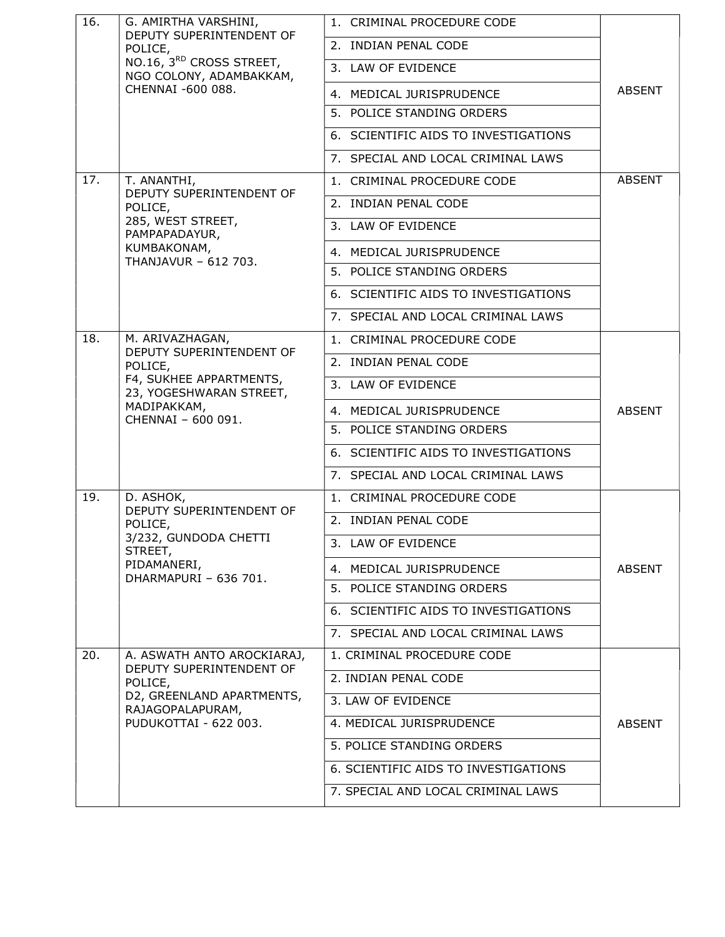| 16. | G. AMIRTHA VARSHINI,                                                                                            | 1. CRIMINAL PROCEDURE CODE           |               |
|-----|-----------------------------------------------------------------------------------------------------------------|--------------------------------------|---------------|
|     | DEPUTY SUPERINTENDENT OF<br>POLICE,<br>NO.16, 3RD CROSS STREET,<br>NGO COLONY, ADAMBAKKAM,<br>CHENNAI -600 088. | 2. INDIAN PENAL CODE                 |               |
|     |                                                                                                                 | 3. LAW OF EVIDENCE                   |               |
|     |                                                                                                                 | 4. MEDICAL JURISPRUDENCE             | <b>ABSENT</b> |
|     |                                                                                                                 | 5. POLICE STANDING ORDERS            |               |
|     |                                                                                                                 | 6. SCIENTIFIC AIDS TO INVESTIGATIONS |               |
|     |                                                                                                                 | 7. SPECIAL AND LOCAL CRIMINAL LAWS   |               |
| 17. | T. ANANTHI,                                                                                                     | 1. CRIMINAL PROCEDURE CODE           | <b>ABSENT</b> |
|     | DEPUTY SUPERINTENDENT OF<br>POLICE,                                                                             | 2. INDIAN PENAL CODE                 |               |
|     | 285, WEST STREET,<br>PAMPAPADAYUR,                                                                              | 3. LAW OF EVIDENCE                   |               |
|     | KUMBAKONAM,                                                                                                     | 4. MEDICAL JURISPRUDENCE             |               |
|     | THANJAVUR - 612 703.                                                                                            | 5. POLICE STANDING ORDERS            |               |
|     |                                                                                                                 | 6. SCIENTIFIC AIDS TO INVESTIGATIONS |               |
|     |                                                                                                                 | 7. SPECIAL AND LOCAL CRIMINAL LAWS   |               |
| 18. | M. ARIVAZHAGAN,                                                                                                 | 1. CRIMINAL PROCEDURE CODE           |               |
|     | DEPUTY SUPERINTENDENT OF<br>POLICE,                                                                             | 2. INDIAN PENAL CODE                 |               |
|     | F4, SUKHEE APPARTMENTS,<br>23, YOGESHWARAN STREET,                                                              | 3. LAW OF EVIDENCE                   |               |
|     | MADIPAKKAM,                                                                                                     | 4. MEDICAL JURISPRUDENCE             | <b>ABSENT</b> |
|     | CHENNAI - 600 091.                                                                                              | 5. POLICE STANDING ORDERS            |               |
|     |                                                                                                                 | 6. SCIENTIFIC AIDS TO INVESTIGATIONS |               |
|     |                                                                                                                 | 7. SPECIAL AND LOCAL CRIMINAL LAWS   |               |
| 19. | D. ASHOK,                                                                                                       | 1. CRIMINAL PROCEDURE CODE           |               |
|     | DEPUTY SUPERINTENDENT OF<br>POLICE,                                                                             | 2. INDIAN PENAL CODE                 |               |
|     | 3/232, GUNDODA CHETTI<br>STREET,                                                                                | 3. LAW OF EVIDENCE                   |               |
|     | PIDAMANERI,<br>DHARMAPURI - 636 701.                                                                            | 4. MEDICAL JURISPRUDENCE             | <b>ABSENT</b> |
|     |                                                                                                                 | 5. POLICE STANDING ORDERS            |               |
|     |                                                                                                                 | 6. SCIENTIFIC AIDS TO INVESTIGATIONS |               |
|     |                                                                                                                 | 7. SPECIAL AND LOCAL CRIMINAL LAWS   |               |
| 20. | A. ASWATH ANTO AROCKIARAJ,                                                                                      | 1. CRIMINAL PROCEDURE CODE           |               |
|     | DEPUTY SUPERINTENDENT OF<br>POLICE,                                                                             | 2. INDIAN PENAL CODE                 |               |
|     | D2, GREENLAND APARTMENTS,<br>RAJAGOPALAPURAM,<br>PUDUKOTTAI - 622 003.                                          | 3. LAW OF EVIDENCE                   |               |
|     |                                                                                                                 | 4. MEDICAL JURISPRUDENCE             | <b>ABSENT</b> |
|     |                                                                                                                 | 5. POLICE STANDING ORDERS            |               |
|     |                                                                                                                 | 6. SCIENTIFIC AIDS TO INVESTIGATIONS |               |
|     |                                                                                                                 | 7. SPECIAL AND LOCAL CRIMINAL LAWS   |               |
|     |                                                                                                                 |                                      |               |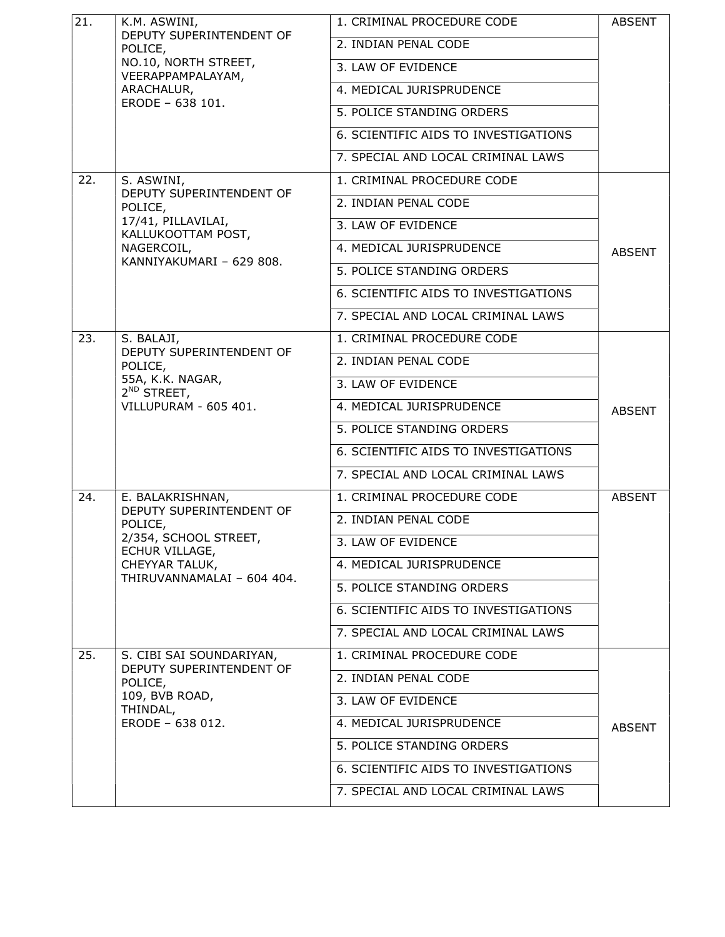| 21. | K.M. ASWINI,                                                                                                       | 1. CRIMINAL PROCEDURE CODE           | <b>ABSENT</b> |
|-----|--------------------------------------------------------------------------------------------------------------------|--------------------------------------|---------------|
|     | DEPUTY SUPERINTENDENT OF<br>POLICE,                                                                                | 2. INDIAN PENAL CODE                 |               |
|     | NO.10, NORTH STREET,<br>VEERAPPAMPALAYAM,<br>ARACHALUR,                                                            | 3. LAW OF EVIDENCE                   |               |
|     |                                                                                                                    | 4. MEDICAL JURISPRUDENCE             |               |
|     | ERODE - 638 101.                                                                                                   | 5. POLICE STANDING ORDERS            |               |
|     |                                                                                                                    | 6. SCIENTIFIC AIDS TO INVESTIGATIONS |               |
|     |                                                                                                                    | 7. SPECIAL AND LOCAL CRIMINAL LAWS   |               |
| 22. | S. ASWINI,<br>DEPUTY SUPERINTENDENT OF<br>POLICE,                                                                  | 1. CRIMINAL PROCEDURE CODE           |               |
|     |                                                                                                                    | 2. INDIAN PENAL CODE                 |               |
|     | 17/41, PILLAVILAI,<br>KALLUKOOTTAM POST,                                                                           | 3. LAW OF EVIDENCE                   |               |
|     | NAGERCOIL,                                                                                                         | 4. MEDICAL JURISPRUDENCE             | <b>ABSENT</b> |
|     | KANNIYAKUMARI - 629 808.                                                                                           | 5. POLICE STANDING ORDERS            |               |
|     |                                                                                                                    | 6. SCIENTIFIC AIDS TO INVESTIGATIONS |               |
|     |                                                                                                                    | 7. SPECIAL AND LOCAL CRIMINAL LAWS   |               |
| 23. | S. BALAJI,<br>DEPUTY SUPERINTENDENT OF<br>POLICE,<br>55A, K.K. NAGAR,<br>$2^{ND}$ STREET,<br>VILLUPURAM - 605 401. | 1. CRIMINAL PROCEDURE CODE           |               |
|     |                                                                                                                    | 2. INDIAN PENAL CODE                 |               |
|     |                                                                                                                    | 3. LAW OF EVIDENCE                   |               |
|     |                                                                                                                    | 4. MEDICAL JURISPRUDENCE             | <b>ABSENT</b> |
|     |                                                                                                                    | 5. POLICE STANDING ORDERS            |               |
|     |                                                                                                                    | 6. SCIENTIFIC AIDS TO INVESTIGATIONS |               |
|     |                                                                                                                    | 7. SPECIAL AND LOCAL CRIMINAL LAWS   |               |
| 24. | E. BALAKRISHNAN,                                                                                                   | 1. CRIMINAL PROCEDURE CODE           | <b>ABSENT</b> |
|     | DEPUTY SUPERINTENDENT OF<br>POLICE,<br>2/354, SCHOOL STREET,<br>ECHUR VILLAGE,                                     | 2. INDIAN PENAL CODE                 |               |
|     |                                                                                                                    | 3. LAW OF EVIDENCE                   |               |
|     | CHEYYAR TALUK,<br>THIRUVANNAMALAI - 604 404.                                                                       | 4. MEDICAL JURISPRUDENCE             |               |
|     |                                                                                                                    | 5. POLICE STANDING ORDERS            |               |
|     |                                                                                                                    | 6. SCIENTIFIC AIDS TO INVESTIGATIONS |               |
|     |                                                                                                                    | 7. SPECIAL AND LOCAL CRIMINAL LAWS   |               |
| 25. | S. CIBI SAI SOUNDARIYAN,                                                                                           | 1. CRIMINAL PROCEDURE CODE           |               |
|     | DEPUTY SUPERINTENDENT OF<br>POLICE,                                                                                | 2. INDIAN PENAL CODE                 |               |
|     | 109, BVB ROAD,<br>THINDAL,                                                                                         | 3. LAW OF EVIDENCE                   |               |
|     | ERODE - 638 012.                                                                                                   | 4. MEDICAL JURISPRUDENCE             | <b>ABSENT</b> |
|     |                                                                                                                    | 5. POLICE STANDING ORDERS            |               |
|     |                                                                                                                    | 6. SCIENTIFIC AIDS TO INVESTIGATIONS |               |
|     |                                                                                                                    | 7. SPECIAL AND LOCAL CRIMINAL LAWS   |               |
|     |                                                                                                                    |                                      |               |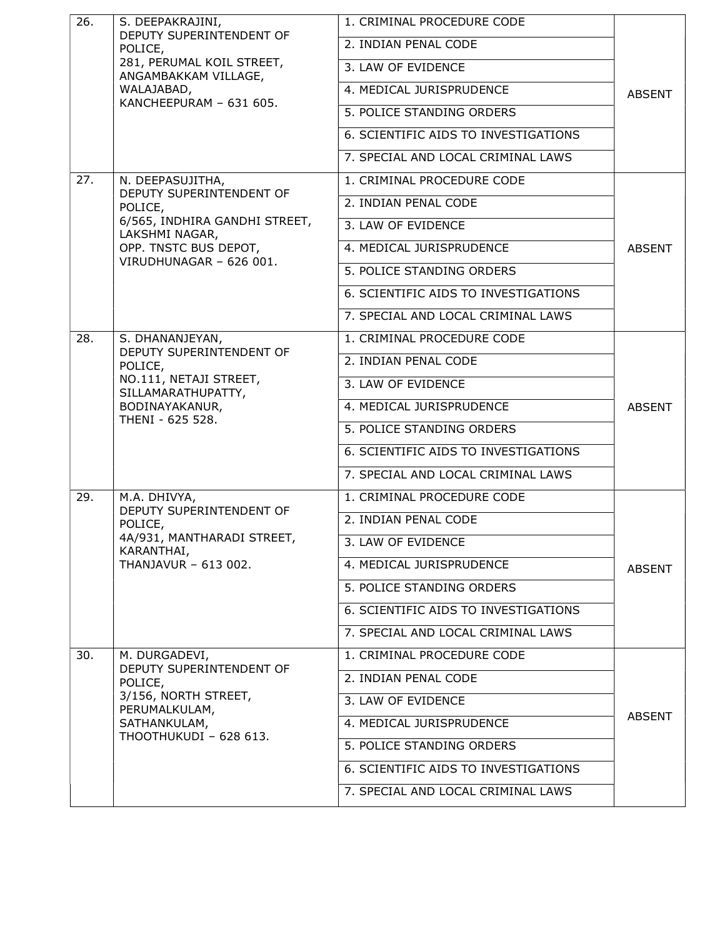| 26. | S. DEEPAKRAJINI,<br>DEPUTY SUPERINTENDENT OF<br>POLICE,<br>281, PERUMAL KOIL STREET,<br>ANGAMBAKKAM VILLAGE,<br>WALAJABAD,<br>KANCHEEPURAM - 631 605. | 1. CRIMINAL PROCEDURE CODE           |               |
|-----|-------------------------------------------------------------------------------------------------------------------------------------------------------|--------------------------------------|---------------|
|     |                                                                                                                                                       | 2. INDIAN PENAL CODE                 |               |
|     |                                                                                                                                                       | 3. LAW OF EVIDENCE                   |               |
|     |                                                                                                                                                       | 4. MEDICAL JURISPRUDENCE             | <b>ABSENT</b> |
|     |                                                                                                                                                       | 5. POLICE STANDING ORDERS            |               |
|     |                                                                                                                                                       | 6. SCIENTIFIC AIDS TO INVESTIGATIONS |               |
|     |                                                                                                                                                       | 7. SPECIAL AND LOCAL CRIMINAL LAWS   |               |
| 27. | N. DEEPASUJITHA,                                                                                                                                      | 1. CRIMINAL PROCEDURE CODE           |               |
|     | DEPUTY SUPERINTENDENT OF<br>POLICE,                                                                                                                   | 2. INDIAN PENAL CODE                 |               |
|     | 6/565, INDHIRA GANDHI STREET,<br>LAKSHMI NAGAR,                                                                                                       | 3. LAW OF EVIDENCE                   |               |
|     | OPP. TNSTC BUS DEPOT,<br>VIRUDHUNAGAR - 626 001.                                                                                                      | 4. MEDICAL JURISPRUDENCE             | <b>ABSENT</b> |
|     |                                                                                                                                                       | 5. POLICE STANDING ORDERS            |               |
|     |                                                                                                                                                       | 6. SCIENTIFIC AIDS TO INVESTIGATIONS |               |
|     |                                                                                                                                                       | 7. SPECIAL AND LOCAL CRIMINAL LAWS   |               |
| 28. | S. DHANANJEYAN,                                                                                                                                       | 1. CRIMINAL PROCEDURE CODE           |               |
|     | DEPUTY SUPERINTENDENT OF<br>POLICE,<br>NO.111, NETAJI STREET,<br>SILLAMARATHUPATTY,<br>BODINAYAKANUR,<br>THENI - 625 528.                             | 2. INDIAN PENAL CODE                 |               |
|     |                                                                                                                                                       | 3. LAW OF EVIDENCE                   | <b>ABSENT</b> |
|     |                                                                                                                                                       | 4. MEDICAL JURISPRUDENCE             |               |
|     |                                                                                                                                                       | 5. POLICE STANDING ORDERS            |               |
|     |                                                                                                                                                       | 6. SCIENTIFIC AIDS TO INVESTIGATIONS |               |
|     |                                                                                                                                                       | 7. SPECIAL AND LOCAL CRIMINAL LAWS   |               |
| 29. | M.A. DHIVYA,<br>DEPUTY SUPERINTENDENT OF                                                                                                              | 1. CRIMINAL PROCEDURE CODE           |               |
|     | POLICE,                                                                                                                                               | 2. INDIAN PENAL CODE                 |               |
|     | 4A/931, MANTHARADI STREET,<br>KARANTHAI,                                                                                                              | 3. LAW OF EVIDENCE                   |               |
|     | THANJAVUR - 613 002.                                                                                                                                  | 4. MEDICAL JURISPRUDENCE             | <b>ABSENT</b> |
|     |                                                                                                                                                       | 5. POLICE STANDING ORDERS            |               |
|     |                                                                                                                                                       | 6. SCIENTIFIC AIDS TO INVESTIGATIONS |               |
|     |                                                                                                                                                       | 7. SPECIAL AND LOCAL CRIMINAL LAWS   |               |
| 30. | M. DURGADEVI,                                                                                                                                         | 1. CRIMINAL PROCEDURE CODE           |               |
|     | DEPUTY SUPERINTENDENT OF<br>POLICE,                                                                                                                   | 2. INDIAN PENAL CODE                 |               |
|     | 3/156, NORTH STREET,<br>PERUMALKULAM,<br>SATHANKULAM,                                                                                                 | 3. LAW OF EVIDENCE                   | <b>ABSENT</b> |
|     |                                                                                                                                                       | 4. MEDICAL JURISPRUDENCE             |               |
|     | THOOTHUKUDI - 628 613.                                                                                                                                | 5. POLICE STANDING ORDERS            |               |
|     |                                                                                                                                                       | 6. SCIENTIFIC AIDS TO INVESTIGATIONS |               |
|     |                                                                                                                                                       | 7. SPECIAL AND LOCAL CRIMINAL LAWS   |               |
|     |                                                                                                                                                       |                                      |               |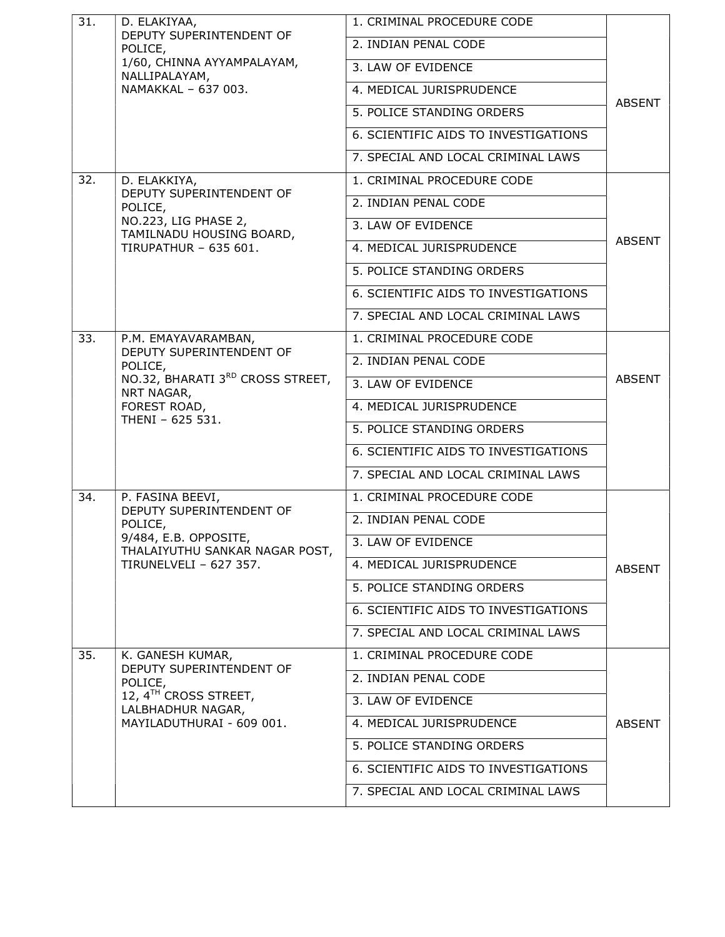| 31. | D. ELAKIYAA,<br>DEPUTY SUPERINTENDENT OF                | 1. CRIMINAL PROCEDURE CODE           |               |
|-----|---------------------------------------------------------|--------------------------------------|---------------|
|     | POLICE,                                                 | 2. INDIAN PENAL CODE                 |               |
|     | 1/60, CHINNA AYYAMPALAYAM,<br>NALLIPALAYAM,             | 3. LAW OF EVIDENCE                   |               |
|     | NAMAKKAL - 637 003.                                     | 4. MEDICAL JURISPRUDENCE             |               |
|     |                                                         | 5. POLICE STANDING ORDERS            | <b>ABSENT</b> |
|     |                                                         | 6. SCIENTIFIC AIDS TO INVESTIGATIONS |               |
|     |                                                         | 7. SPECIAL AND LOCAL CRIMINAL LAWS   |               |
| 32. | D. ELAKKIYA,                                            | 1. CRIMINAL PROCEDURE CODE           |               |
|     | DEPUTY SUPERINTENDENT OF<br>POLICE,                     | 2. INDIAN PENAL CODE                 |               |
|     | NO.223, LIG PHASE 2,<br>TAMILNADU HOUSING BOARD,        | 3. LAW OF EVIDENCE                   |               |
|     | <b>TIRUPATHUR - 635 601.</b>                            | 4. MEDICAL JURISPRUDENCE             | <b>ABSENT</b> |
|     |                                                         | 5. POLICE STANDING ORDERS            |               |
|     |                                                         | 6. SCIENTIFIC AIDS TO INVESTIGATIONS |               |
|     |                                                         | 7. SPECIAL AND LOCAL CRIMINAL LAWS   |               |
| 33. | P.M. EMAYAVARAMBAN,                                     | 1. CRIMINAL PROCEDURE CODE           |               |
|     | DEPUTY SUPERINTENDENT OF<br>POLICE,                     | 2. INDIAN PENAL CODE                 |               |
|     | NO.32, BHARATI 3RD CROSS STREET,<br>NRT NAGAR,          | 3. LAW OF EVIDENCE                   | <b>ABSENT</b> |
|     | FOREST ROAD,                                            | 4. MEDICAL JURISPRUDENCE             |               |
|     | THENI - 625 531.                                        | 5. POLICE STANDING ORDERS            |               |
|     |                                                         | 6. SCIENTIFIC AIDS TO INVESTIGATIONS |               |
|     |                                                         | 7. SPECIAL AND LOCAL CRIMINAL LAWS   |               |
| 34. | P. FASINA BEEVI,                                        | 1. CRIMINAL PROCEDURE CODE           |               |
|     | DEPUTY SUPERINTENDENT OF<br>POLICE,                     | 2. INDIAN PENAL CODE                 |               |
|     | 9/484, E.B. OPPOSITE,<br>THALAIYUTHU SANKAR NAGAR POST, | 3. LAW OF EVIDENCE                   |               |
|     | TIRUNELVELI - 627 357.                                  | 4. MEDICAL JURISPRUDENCE             | <b>ABSENT</b> |
|     |                                                         | 5. POLICE STANDING ORDERS            |               |
|     |                                                         | 6. SCIENTIFIC AIDS TO INVESTIGATIONS |               |
|     |                                                         | 7. SPECIAL AND LOCAL CRIMINAL LAWS   |               |
| 35. | K. GANESH KUMAR,                                        | 1. CRIMINAL PROCEDURE CODE           |               |
|     | DEPUTY SUPERINTENDENT OF<br>POLICE,                     | 2. INDIAN PENAL CODE                 |               |
|     | 12, 4 <sup>TH</sup> CROSS STREET,<br>LALBHADHUR NAGAR,  | 3. LAW OF EVIDENCE                   |               |
|     | MAYILADUTHURAI - 609 001.                               | 4. MEDICAL JURISPRUDENCE             | <b>ABSENT</b> |
|     |                                                         | 5. POLICE STANDING ORDERS            |               |
|     |                                                         | 6. SCIENTIFIC AIDS TO INVESTIGATIONS |               |
|     |                                                         | 7. SPECIAL AND LOCAL CRIMINAL LAWS   |               |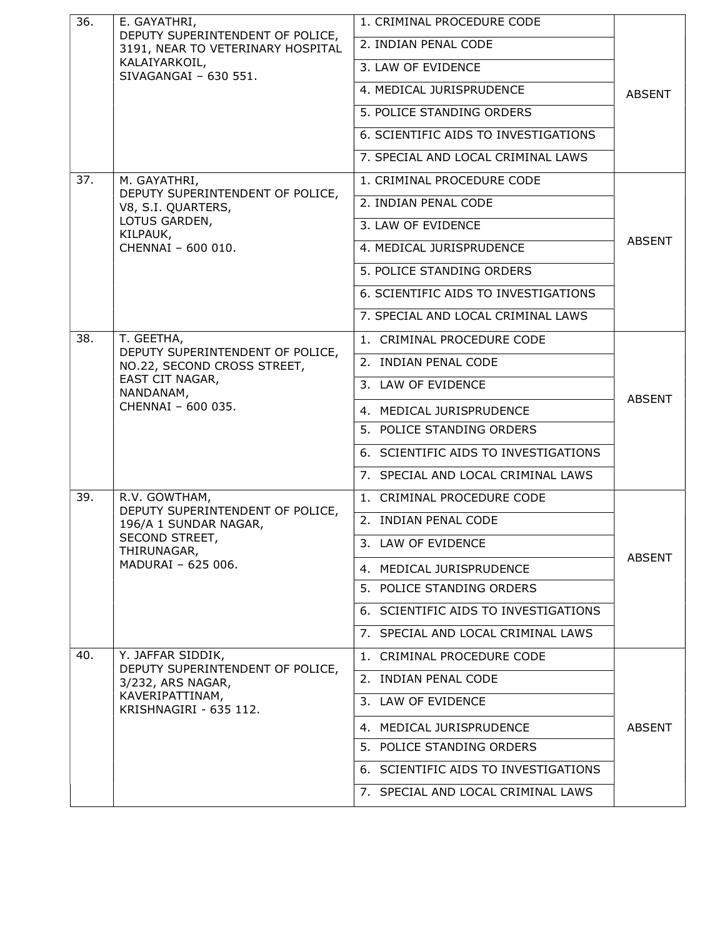| 36. | E. GAYATHRI,                                                          | 1. CRIMINAL PROCEDURE CODE           |               |
|-----|-----------------------------------------------------------------------|--------------------------------------|---------------|
|     | DEPUTY SUPERINTENDENT OF POLICE,<br>3191, NEAR TO VETERINARY HOSPITAL | 2. INDIAN PENAL CODE                 |               |
|     | KALAIYARKOIL,<br>SIVAGANGAI - 630 551.                                | 3. LAW OF EVIDENCE                   |               |
|     |                                                                       | 4. MEDICAL JURISPRUDENCE             | <b>ABSENT</b> |
|     |                                                                       | 5. POLICE STANDING ORDERS            |               |
|     |                                                                       | 6. SCIENTIFIC AIDS TO INVESTIGATIONS |               |
|     |                                                                       | 7. SPECIAL AND LOCAL CRIMINAL LAWS   |               |
| 37. | M. GAYATHRI,                                                          | 1. CRIMINAL PROCEDURE CODE           |               |
|     | DEPUTY SUPERINTENDENT OF POLICE,<br>V8, S.I. QUARTERS,                | 2. INDIAN PENAL CODE                 |               |
|     | LOTUS GARDEN,<br>KILPAUK,                                             | 3. LAW OF EVIDENCE                   |               |
|     | CHENNAI - 600 010.                                                    | 4. MEDICAL JURISPRUDENCE             | <b>ABSENT</b> |
|     |                                                                       | 5. POLICE STANDING ORDERS            |               |
|     |                                                                       | 6. SCIENTIFIC AIDS TO INVESTIGATIONS |               |
|     |                                                                       | 7. SPECIAL AND LOCAL CRIMINAL LAWS   |               |
| 38. | T. GEETHA,                                                            | 1. CRIMINAL PROCEDURE CODE           |               |
|     | DEPUTY SUPERINTENDENT OF POLICE,<br>NO.22, SECOND CROSS STREET,       | 2. INDIAN PENAL CODE                 |               |
|     | EAST CIT NAGAR,<br>NANDANAM,                                          | 3. LAW OF EVIDENCE                   |               |
|     | CHENNAI - 600 035.                                                    | 4. MEDICAL JURISPRUDENCE             | <b>ABSENT</b> |
|     |                                                                       | 5. POLICE STANDING ORDERS            |               |
|     |                                                                       | 6. SCIENTIFIC AIDS TO INVESTIGATIONS |               |
|     |                                                                       | 7. SPECIAL AND LOCAL CRIMINAL LAWS   |               |
| 39. | R.V. GOWTHAM,                                                         | 1. CRIMINAL PROCEDURE CODE           |               |
|     | DEPUTY SUPERINTENDENT OF POLICE,<br>196/A 1 SUNDAR NAGAR,             | 2. INDIAN PENAL CODE                 |               |
|     | SECOND STREET,<br>THIRUNAGAR,                                         | 3. LAW OF EVIDENCE                   |               |
|     | MADURAI - 625 006.                                                    | 4. MEDICAL JURISPRUDENCE             | <b>ABSENT</b> |
|     |                                                                       | 5. POLICE STANDING ORDERS            |               |
|     |                                                                       | 6. SCIENTIFIC AIDS TO INVESTIGATIONS |               |
|     |                                                                       | 7. SPECIAL AND LOCAL CRIMINAL LAWS   |               |
| 40. | Y. JAFFAR SIDDIK,                                                     | 1. CRIMINAL PROCEDURE CODE           |               |
|     | DEPUTY SUPERINTENDENT OF POLICE,<br>3/232, ARS NAGAR,                 | 2. INDIAN PENAL CODE                 |               |
|     | KAVERIPATTINAM,<br>KRISHNAGIRI - 635 112.                             | 3. LAW OF EVIDENCE                   |               |
|     |                                                                       | 4. MEDICAL JURISPRUDENCE             | <b>ABSENT</b> |
|     |                                                                       | 5. POLICE STANDING ORDERS            |               |
|     |                                                                       | 6. SCIENTIFIC AIDS TO INVESTIGATIONS |               |
|     |                                                                       | 7. SPECIAL AND LOCAL CRIMINAL LAWS   |               |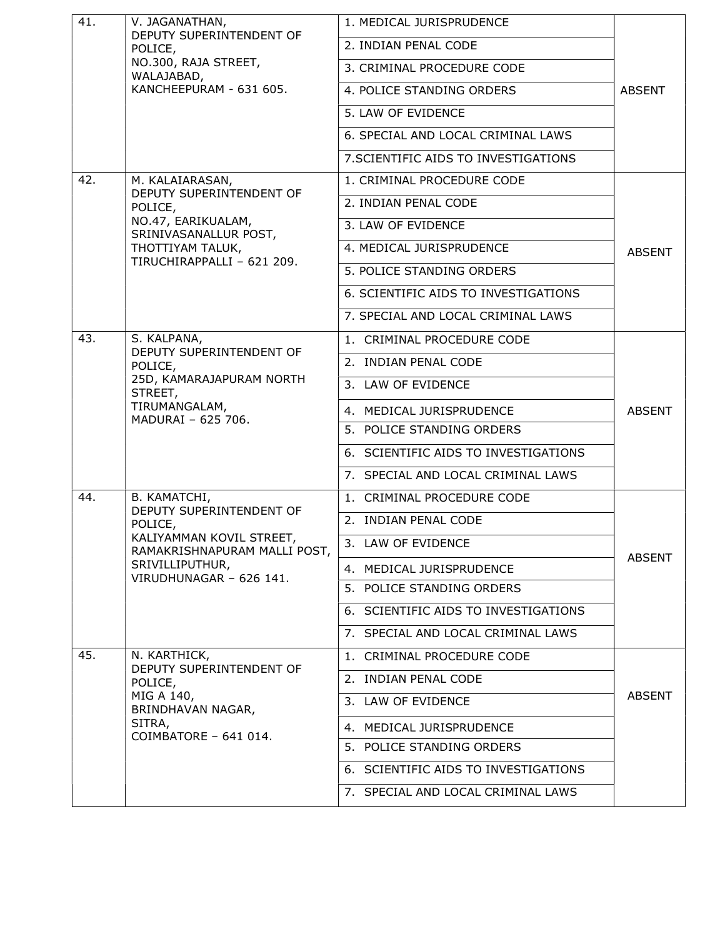| 41.                      | V. JAGANATHAN,<br>DEPUTY SUPERINTENDENT OF               | 1. MEDICAL JURISPRUDENCE             |               |
|--------------------------|----------------------------------------------------------|--------------------------------------|---------------|
|                          | POLICE,                                                  | 2. INDIAN PENAL CODE                 |               |
|                          | NO.300, RAJA STREET,<br>WALAJABAD,                       | 3. CRIMINAL PROCEDURE CODE           |               |
|                          | KANCHEEPURAM - 631 605.                                  | 4. POLICE STANDING ORDERS            | <b>ABSENT</b> |
|                          |                                                          | 5. LAW OF EVIDENCE                   |               |
|                          |                                                          | 6. SPECIAL AND LOCAL CRIMINAL LAWS   |               |
|                          |                                                          | 7. SCIENTIFIC AIDS TO INVESTIGATIONS |               |
| 42.                      | M. KALAIARASAN,                                          | 1. CRIMINAL PROCEDURE CODE           |               |
|                          | DEPUTY SUPERINTENDENT OF<br>POLICE,                      | 2. INDIAN PENAL CODE                 |               |
|                          | NO.47, EARIKUALAM,<br>SRINIVASANALLUR POST,              | 3. LAW OF EVIDENCE                   |               |
|                          | THOTTIYAM TALUK,                                         | 4. MEDICAL JURISPRUDENCE             | <b>ABSENT</b> |
|                          | TIRUCHIRAPPALLI - 621 209.                               | 5. POLICE STANDING ORDERS            |               |
|                          |                                                          | 6. SCIENTIFIC AIDS TO INVESTIGATIONS |               |
|                          |                                                          | 7. SPECIAL AND LOCAL CRIMINAL LAWS   |               |
| 43.                      | S. KALPANA,                                              | 1. CRIMINAL PROCEDURE CODE           |               |
| DEPUTY SUPERINTENDENT OF | POLICE,                                                  | 2. INDIAN PENAL CODE                 |               |
|                          | 25D, KAMARAJAPURAM NORTH<br>STREET,                      | 3. LAW OF EVIDENCE                   |               |
|                          | TIRUMANGALAM,                                            | 4. MEDICAL JURISPRUDENCE             | <b>ABSENT</b> |
|                          | MADURAI - 625 706.                                       | 5. POLICE STANDING ORDERS            |               |
|                          |                                                          | 6. SCIENTIFIC AIDS TO INVESTIGATIONS |               |
|                          |                                                          | 7. SPECIAL AND LOCAL CRIMINAL LAWS   |               |
| 44.                      | B. KAMATCHI,                                             | 1. CRIMINAL PROCEDURE CODE           |               |
|                          | DEPUTY SUPERINTENDENT OF<br>POLICE,                      | 2. INDIAN PENAL CODE                 |               |
|                          | KALIYAMMAN KOVIL STREET,<br>RAMAKRISHNAPURAM MALLI POST, | 3. LAW OF EVIDENCE                   |               |
|                          | SRIVILLIPUTHUR,                                          | 4. MEDICAL JURISPRUDENCE             | <b>ABSENT</b> |
|                          | VIRUDHUNAGAR - 626 141.                                  | 5. POLICE STANDING ORDERS            |               |
|                          |                                                          | 6. SCIENTIFIC AIDS TO INVESTIGATIONS |               |
|                          |                                                          | 7. SPECIAL AND LOCAL CRIMINAL LAWS   |               |
| 45.                      | N. KARTHICK,                                             | 1. CRIMINAL PROCEDURE CODE           |               |
|                          | DEPUTY SUPERINTENDENT OF<br>POLICE,                      | 2. INDIAN PENAL CODE                 |               |
|                          | MIG A 140,<br>BRINDHAVAN NAGAR,                          | 3. LAW OF EVIDENCE                   | <b>ABSENT</b> |
|                          | SITRA,                                                   | 4. MEDICAL JURISPRUDENCE             |               |
|                          | COIMBATORE - 641 014.                                    | 5. POLICE STANDING ORDERS            |               |
|                          |                                                          | 6. SCIENTIFIC AIDS TO INVESTIGATIONS |               |
|                          |                                                          | 7. SPECIAL AND LOCAL CRIMINAL LAWS   |               |
|                          |                                                          |                                      |               |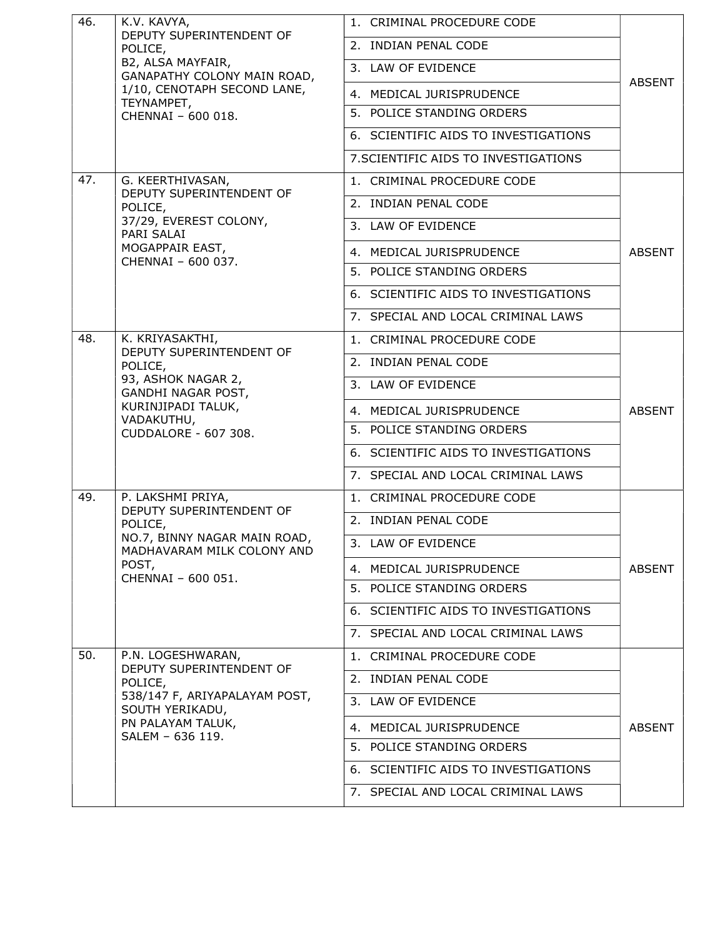| 46. | K.V. KAVYA,                                                                                                                                 | 1. CRIMINAL PROCEDURE CODE           |               |
|-----|---------------------------------------------------------------------------------------------------------------------------------------------|--------------------------------------|---------------|
|     | DEPUTY SUPERINTENDENT OF<br>POLICE,<br>B2, ALSA MAYFAIR,<br>GANAPATHY COLONY MAIN ROAD,                                                     | 2. INDIAN PENAL CODE                 |               |
|     |                                                                                                                                             | 3. LAW OF EVIDENCE                   |               |
|     | 1/10, CENOTAPH SECOND LANE,                                                                                                                 | 4. MEDICAL JURISPRUDENCE             | ABSENT        |
|     | TEYNAMPET,<br>CHENNAI - 600 018.                                                                                                            | 5. POLICE STANDING ORDERS            |               |
|     |                                                                                                                                             | 6. SCIENTIFIC AIDS TO INVESTIGATIONS |               |
|     |                                                                                                                                             | 7. SCIENTIFIC AIDS TO INVESTIGATIONS |               |
| 47. | G. KEERTHIVASAN,<br>DEPUTY SUPERINTENDENT OF                                                                                                | 1. CRIMINAL PROCEDURE CODE           |               |
|     | POLICE,                                                                                                                                     | 2. INDIAN PENAL CODE                 |               |
|     | 37/29, EVEREST COLONY,<br>PARI SALAI                                                                                                        | 3. LAW OF EVIDENCE                   |               |
|     | MOGAPPAIR EAST,<br>CHENNAI - 600 037.                                                                                                       | 4. MEDICAL JURISPRUDENCE             | <b>ABSENT</b> |
|     |                                                                                                                                             | 5. POLICE STANDING ORDERS            |               |
|     |                                                                                                                                             | 6. SCIENTIFIC AIDS TO INVESTIGATIONS |               |
|     |                                                                                                                                             | 7. SPECIAL AND LOCAL CRIMINAL LAWS   |               |
| 48. | K. KRIYASAKTHI,                                                                                                                             | 1. CRIMINAL PROCEDURE CODE           |               |
|     | DEPUTY SUPERINTENDENT OF<br>POLICE,<br>93, ASHOK NAGAR 2,<br>GANDHI NAGAR POST,<br>KURINJIPADI TALUK,<br>VADAKUTHU,<br>CUDDALORE - 607 308. | 2. INDIAN PENAL CODE                 |               |
|     |                                                                                                                                             | 3. LAW OF EVIDENCE                   | <b>ABSENT</b> |
|     |                                                                                                                                             | 4. MEDICAL JURISPRUDENCE             |               |
|     |                                                                                                                                             | 5. POLICE STANDING ORDERS            |               |
|     |                                                                                                                                             | 6. SCIENTIFIC AIDS TO INVESTIGATIONS |               |
|     |                                                                                                                                             | 7. SPECIAL AND LOCAL CRIMINAL LAWS   |               |
| 49. | P. LAKSHMI PRIYA,<br>DEPUTY SUPERINTENDENT OF                                                                                               | 1. CRIMINAL PROCEDURE CODE           |               |
|     | POLICE,<br>NO.7, BINNY NAGAR MAIN ROAD,<br>MADHAVARAM MILK COLONY AND                                                                       | 2. INDIAN PENAL CODE                 |               |
|     |                                                                                                                                             | 3. LAW OF EVIDENCE                   |               |
|     | POST,<br>CHENNAI - 600 051.                                                                                                                 | 4. MEDICAL JURISPRUDENCE             | ABSENT        |
|     |                                                                                                                                             | 5. POLICE STANDING ORDERS            |               |
|     |                                                                                                                                             | 6. SCIENTIFIC AIDS TO INVESTIGATIONS |               |
|     |                                                                                                                                             | 7. SPECIAL AND LOCAL CRIMINAL LAWS   |               |
| 50. | P.N. LOGESHWARAN,                                                                                                                           | 1. CRIMINAL PROCEDURE CODE           |               |
|     | DEPUTY SUPERINTENDENT OF<br>POLICE,<br>538/147 F, ARIYAPALAYAM POST,<br>SOUTH YERIKADU,<br>PN PALAYAM TALUK,<br>SALEM - 636 119.            | 2. INDIAN PENAL CODE                 |               |
|     |                                                                                                                                             | 3. LAW OF EVIDENCE                   |               |
|     |                                                                                                                                             | 4. MEDICAL JURISPRUDENCE             | <b>ABSENT</b> |
|     |                                                                                                                                             | 5. POLICE STANDING ORDERS            |               |
|     |                                                                                                                                             | 6. SCIENTIFIC AIDS TO INVESTIGATIONS |               |
|     |                                                                                                                                             | 7. SPECIAL AND LOCAL CRIMINAL LAWS   |               |
|     |                                                                                                                                             |                                      |               |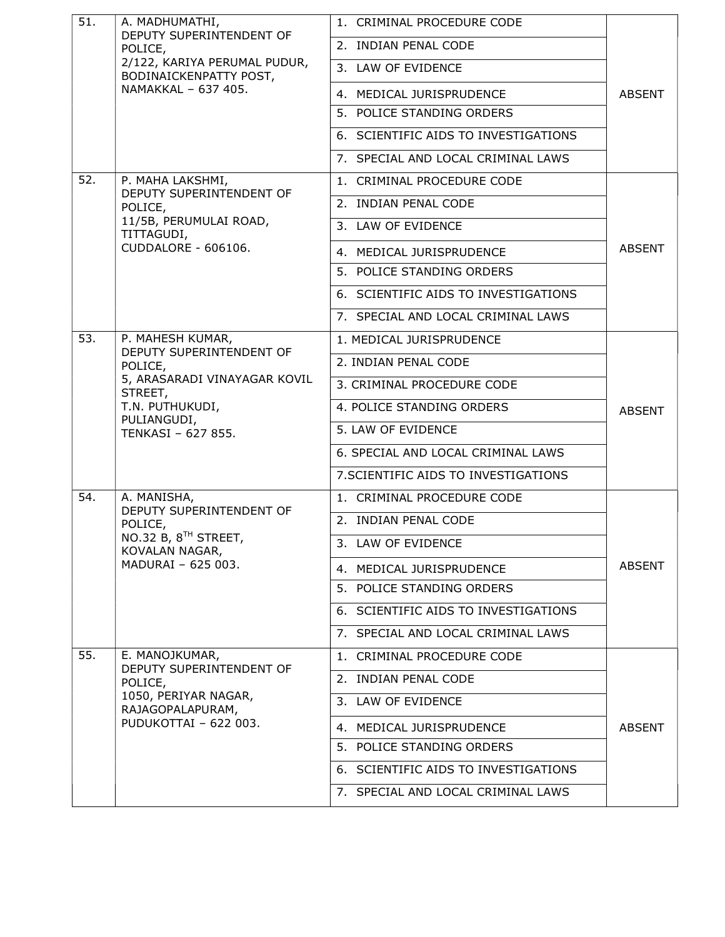| 51. | A. MADHUMATHI,<br>DEPUTY SUPERINTENDENT OF                        | 1. CRIMINAL PROCEDURE CODE           |               |
|-----|-------------------------------------------------------------------|--------------------------------------|---------------|
|     | POLICE,<br>2/122, KARIYA PERUMAL PUDUR,<br>BODINAICKENPATTY POST, | 2. INDIAN PENAL CODE                 |               |
|     |                                                                   | 3. LAW OF EVIDENCE                   |               |
|     | NAMAKKAL - 637 405.                                               | 4. MEDICAL JURISPRUDENCE             | <b>ABSENT</b> |
|     |                                                                   | 5. POLICE STANDING ORDERS            |               |
|     |                                                                   | 6. SCIENTIFIC AIDS TO INVESTIGATIONS |               |
|     |                                                                   | 7. SPECIAL AND LOCAL CRIMINAL LAWS   |               |
| 52. | P. MAHA LAKSHMI,                                                  | 1. CRIMINAL PROCEDURE CODE           |               |
|     | DEPUTY SUPERINTENDENT OF<br>POLICE,                               | 2. INDIAN PENAL CODE                 |               |
|     | 11/5B, PERUMULAI ROAD,<br>TITTAGUDI,                              | 3. LAW OF EVIDENCE                   |               |
|     | CUDDALORE - 606106.                                               | 4. MEDICAL JURISPRUDENCE             | <b>ABSENT</b> |
|     |                                                                   | 5. POLICE STANDING ORDERS            |               |
|     |                                                                   | 6. SCIENTIFIC AIDS TO INVESTIGATIONS |               |
|     |                                                                   | 7. SPECIAL AND LOCAL CRIMINAL LAWS   |               |
| 53. | P. MAHESH KUMAR,                                                  | 1. MEDICAL JURISPRUDENCE             |               |
|     | DEPUTY SUPERINTENDENT OF<br>POLICE,                               | 2. INDIAN PENAL CODE                 |               |
|     | 5, ARASARADI VINAYAGAR KOVIL<br>STREET,                           | 3. CRIMINAL PROCEDURE CODE           |               |
|     | T.N. PUTHUKUDI,                                                   | 4. POLICE STANDING ORDERS            | <b>ABSENT</b> |
|     | PULIANGUDI,<br>TENKASI - 627 855.                                 | 5. LAW OF EVIDENCE                   |               |
|     |                                                                   | 6. SPECIAL AND LOCAL CRIMINAL LAWS   |               |
|     |                                                                   | 7. SCIENTIFIC AIDS TO INVESTIGATIONS |               |
| 54. | A. MANISHA,                                                       | 1. CRIMINAL PROCEDURE CODE           |               |
|     | DEPUTY SUPERINTENDENT OF<br>POLICE,                               | 2. INDIAN PENAL CODE                 |               |
|     | NO.32 B, 8 <sup>TH</sup> STREET,<br>KOVALAN NAGAR,                | 3. LAW OF EVIDENCE                   |               |
|     | MADURAI - 625 003.                                                | 4. MEDICAL JURISPRUDENCE             | <b>ABSENT</b> |
|     |                                                                   | 5. POLICE STANDING ORDERS            |               |
|     |                                                                   | 6. SCIENTIFIC AIDS TO INVESTIGATIONS |               |
|     |                                                                   | 7. SPECIAL AND LOCAL CRIMINAL LAWS   |               |
| 55. | E. MANOJKUMAR,                                                    | 1. CRIMINAL PROCEDURE CODE           |               |
|     | DEPUTY SUPERINTENDENT OF<br>POLICE,                               | 2. INDIAN PENAL CODE                 |               |
|     | 1050, PERIYAR NAGAR,<br>RAJAGOPALAPURAM,                          | 3. LAW OF EVIDENCE                   |               |
|     | PUDUKOTTAI - 622 003.                                             | 4. MEDICAL JURISPRUDENCE             | <b>ABSENT</b> |
|     |                                                                   | 5. POLICE STANDING ORDERS            |               |
|     |                                                                   | 6. SCIENTIFIC AIDS TO INVESTIGATIONS |               |
|     |                                                                   | 7. SPECIAL AND LOCAL CRIMINAL LAWS   |               |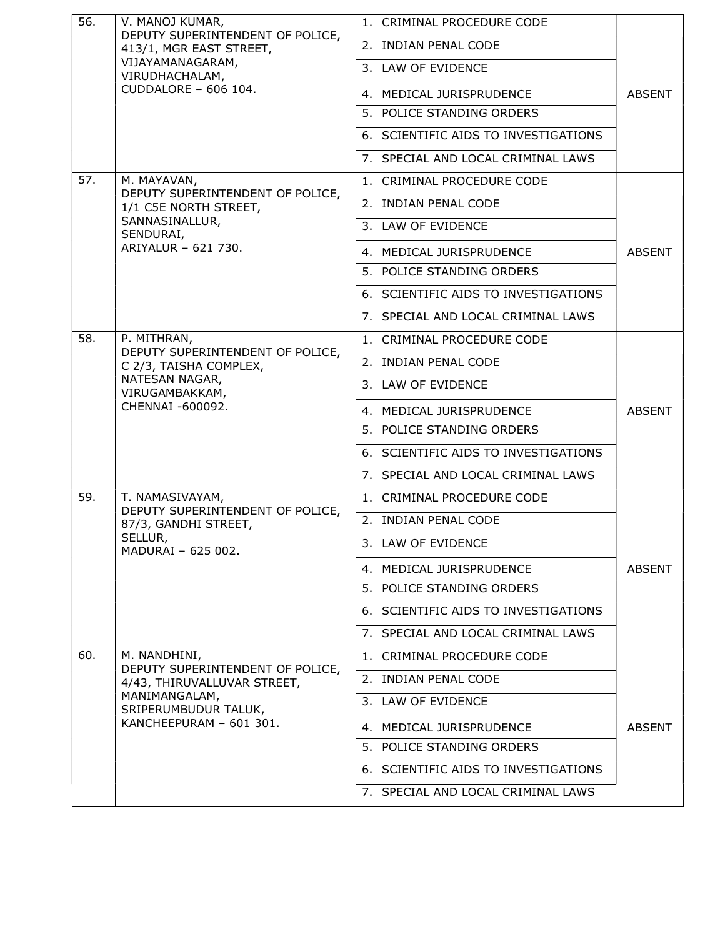| 56. | V. MANOJ KUMAR,                                                                                                    | 1. CRIMINAL PROCEDURE CODE           |               |
|-----|--------------------------------------------------------------------------------------------------------------------|--------------------------------------|---------------|
|     | DEPUTY SUPERINTENDENT OF POLICE,<br>413/1, MGR EAST STREET,<br>VIJAYAMANAGARAM,<br>VIRUDHACHALAM,                  | 2. INDIAN PENAL CODE                 |               |
|     |                                                                                                                    | 3. LAW OF EVIDENCE                   |               |
|     | CUDDALORE - 606 104.                                                                                               | 4. MEDICAL JURISPRUDENCE             | <b>ABSENT</b> |
|     |                                                                                                                    | 5. POLICE STANDING ORDERS            |               |
|     |                                                                                                                    | 6. SCIENTIFIC AIDS TO INVESTIGATIONS |               |
|     |                                                                                                                    | 7. SPECIAL AND LOCAL CRIMINAL LAWS   |               |
| 57. | M. MAYAVAN,                                                                                                        | 1. CRIMINAL PROCEDURE CODE           |               |
|     | DEPUTY SUPERINTENDENT OF POLICE,<br>1/1 C5E NORTH STREET,                                                          | 2. INDIAN PENAL CODE                 |               |
|     | SANNASINALLUR,<br>SENDURAI,                                                                                        | 3. LAW OF EVIDENCE                   |               |
|     | ARIYALUR - 621 730.                                                                                                | 4. MEDICAL JURISPRUDENCE             | <b>ABSENT</b> |
|     |                                                                                                                    | 5. POLICE STANDING ORDERS            |               |
|     |                                                                                                                    | 6. SCIENTIFIC AIDS TO INVESTIGATIONS |               |
|     |                                                                                                                    | 7. SPECIAL AND LOCAL CRIMINAL LAWS   |               |
| 58. | P. MITHRAN,                                                                                                        | 1. CRIMINAL PROCEDURE CODE           |               |
|     | DEPUTY SUPERINTENDENT OF POLICE,<br>C 2/3, TAISHA COMPLEX,<br>NATESAN NAGAR,<br>VIRUGAMBAKKAM,<br>CHENNAI -600092. | 2. INDIAN PENAL CODE                 |               |
|     |                                                                                                                    | 3. LAW OF EVIDENCE                   |               |
|     |                                                                                                                    | 4. MEDICAL JURISPRUDENCE             | <b>ABSENT</b> |
|     |                                                                                                                    | 5. POLICE STANDING ORDERS            |               |
|     |                                                                                                                    | 6. SCIENTIFIC AIDS TO INVESTIGATIONS |               |
|     |                                                                                                                    | 7. SPECIAL AND LOCAL CRIMINAL LAWS   |               |
| 59. | T. NAMASIVAYAM,                                                                                                    | 1. CRIMINAL PROCEDURE CODE           |               |
|     | DEPUTY SUPERINTENDENT OF POLICE,<br>87/3, GANDHI STREET,<br>SELLUR,<br>MADURAI - 625 002.                          | 2. INDIAN PENAL CODE                 |               |
|     |                                                                                                                    | 3. LAW OF EVIDENCE                   |               |
|     |                                                                                                                    | 4. MEDICAL JURISPRUDENCE             | <b>ABSENT</b> |
|     |                                                                                                                    | 5. POLICE STANDING ORDERS            |               |
|     |                                                                                                                    | 6. SCIENTIFIC AIDS TO INVESTIGATIONS |               |
|     |                                                                                                                    | 7. SPECIAL AND LOCAL CRIMINAL LAWS   |               |
| 60. | M. NANDHINI,                                                                                                       | 1. CRIMINAL PROCEDURE CODE           |               |
|     | DEPUTY SUPERINTENDENT OF POLICE,<br>4/43, THIRUVALLUVAR STREET,                                                    | 2. INDIAN PENAL CODE                 |               |
|     | MANIMANGALAM,<br>SRIPERUMBUDUR TALUK,                                                                              | 3. LAW OF EVIDENCE                   |               |
|     | KANCHEEPURAM - 601 301.                                                                                            | 4. MEDICAL JURISPRUDENCE             | <b>ABSENT</b> |
|     |                                                                                                                    | 5. POLICE STANDING ORDERS            |               |
|     |                                                                                                                    | 6. SCIENTIFIC AIDS TO INVESTIGATIONS |               |
|     |                                                                                                                    | 7. SPECIAL AND LOCAL CRIMINAL LAWS   |               |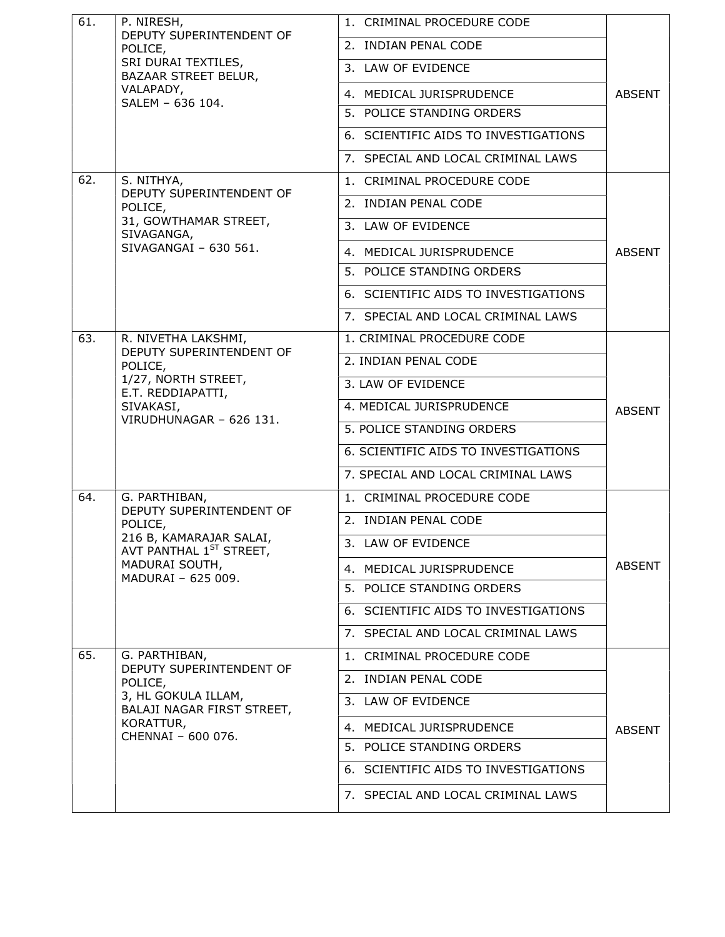| 61. | P. NIRESH,<br>DEPUTY SUPERINTENDENT OF                                                     | 1. CRIMINAL PROCEDURE CODE           |               |
|-----|--------------------------------------------------------------------------------------------|--------------------------------------|---------------|
|     | POLICE,<br>SRI DURAI TEXTILES,<br>BAZAAR STREET BELUR,                                     | 2. INDIAN PENAL CODE                 |               |
|     |                                                                                            | 3. LAW OF EVIDENCE                   |               |
|     | VALAPADY,<br>SALEM - 636 104.                                                              | 4. MEDICAL JURISPRUDENCE             | ABSENT        |
|     |                                                                                            | 5. POLICE STANDING ORDERS            |               |
|     |                                                                                            | 6. SCIENTIFIC AIDS TO INVESTIGATIONS |               |
|     |                                                                                            | 7. SPECIAL AND LOCAL CRIMINAL LAWS   |               |
| 62. | S. NITHYA,                                                                                 | 1. CRIMINAL PROCEDURE CODE           |               |
|     | DEPUTY SUPERINTENDENT OF<br>POLICE,                                                        | 2. INDIAN PENAL CODE                 |               |
|     | 31, GOWTHAMAR STREET,<br>SIVAGANGA,                                                        | 3. LAW OF EVIDENCE                   |               |
|     | SIVAGANGAI - 630 561.                                                                      | 4. MEDICAL JURISPRUDENCE             | <b>ABSENT</b> |
|     |                                                                                            | 5. POLICE STANDING ORDERS            |               |
|     |                                                                                            | 6. SCIENTIFIC AIDS TO INVESTIGATIONS |               |
|     |                                                                                            | 7. SPECIAL AND LOCAL CRIMINAL LAWS   |               |
| 63. | R. NIVETHA LAKSHMI,                                                                        | 1. CRIMINAL PROCEDURE CODE           |               |
|     | DEPUTY SUPERINTENDENT OF<br>POLICE,<br>1/27, NORTH STREET,<br>E.T. REDDIAPATTI,            | 2. INDIAN PENAL CODE                 |               |
|     |                                                                                            | 3. LAW OF EVIDENCE                   |               |
|     | SIVAKASI,                                                                                  | 4. MEDICAL JURISPRUDENCE             | <b>ABSENT</b> |
|     | VIRUDHUNAGAR - 626 131.                                                                    | 5. POLICE STANDING ORDERS            |               |
|     |                                                                                            | 6. SCIENTIFIC AIDS TO INVESTIGATIONS |               |
|     |                                                                                            | 7. SPECIAL AND LOCAL CRIMINAL LAWS   |               |
| 64. | G. PARTHIBAN,                                                                              | 1. CRIMINAL PROCEDURE CODE           |               |
|     | DEPUTY SUPERINTENDENT OF<br>POLICE,                                                        | 2. INDIAN PENAL CODE                 |               |
|     | 216 B, KAMARAJAR SALAI,<br>AVT PANTHAL 1ST STREET,<br>MADURAI SOUTH,<br>MADURAI - 625 009. | 3. LAW OF EVIDENCE                   |               |
|     |                                                                                            | 4. MEDICAL JURISPRUDENCE             | <b>ABSENT</b> |
|     |                                                                                            | 5. POLICE STANDING ORDERS            |               |
|     |                                                                                            | 6. SCIENTIFIC AIDS TO INVESTIGATIONS |               |
|     |                                                                                            | 7. SPECIAL AND LOCAL CRIMINAL LAWS   |               |
| 65. | G. PARTHIBAN,<br>DEPUTY SUPERINTENDENT OF                                                  | 1. CRIMINAL PROCEDURE CODE           |               |
|     | POLICE,                                                                                    | 2. INDIAN PENAL CODE                 |               |
|     | 3, HL GOKULA ILLAM,<br>BALAJI NAGAR FIRST STREET,                                          | 3. LAW OF EVIDENCE                   |               |
|     | KORATTUR,<br>CHENNAI - 600 076.                                                            | 4. MEDICAL JURISPRUDENCE             | <b>ABSENT</b> |
|     |                                                                                            | 5. POLICE STANDING ORDERS            |               |
|     |                                                                                            | 6. SCIENTIFIC AIDS TO INVESTIGATIONS |               |
|     |                                                                                            | 7. SPECIAL AND LOCAL CRIMINAL LAWS   |               |
|     |                                                                                            |                                      |               |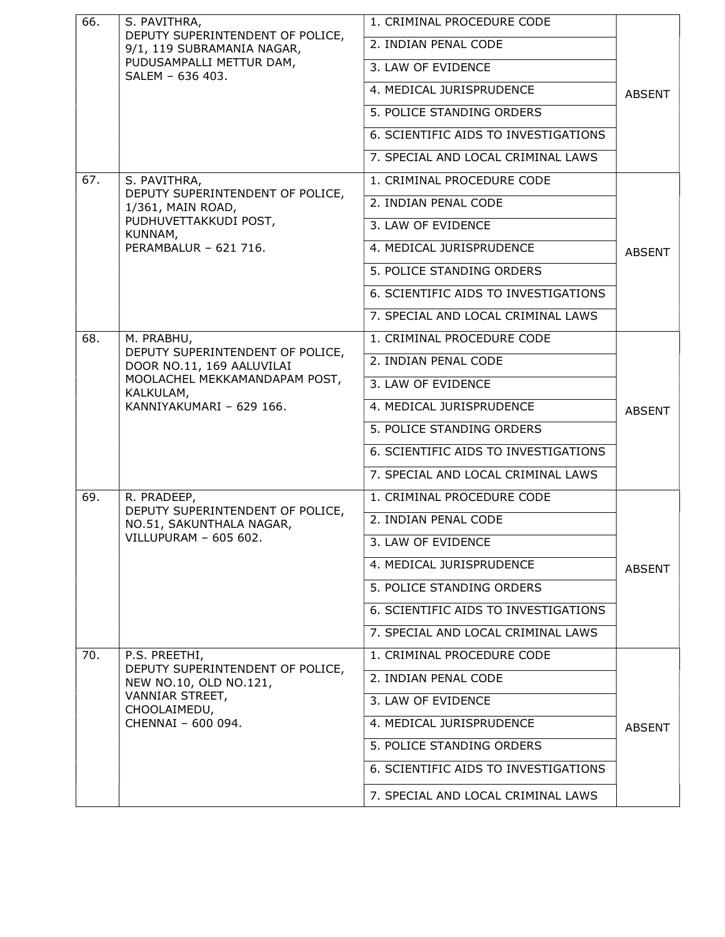| 66. | S. PAVITHRA,                                                                                                   | 1. CRIMINAL PROCEDURE CODE           |               |
|-----|----------------------------------------------------------------------------------------------------------------|--------------------------------------|---------------|
|     | DEPUTY SUPERINTENDENT OF POLICE,<br>9/1, 119 SUBRAMANIA NAGAR,<br>PUDUSAMPALLI METTUR DAM,<br>SALEM - 636 403. | 2. INDIAN PENAL CODE                 |               |
|     |                                                                                                                | 3. LAW OF EVIDENCE                   |               |
|     |                                                                                                                | 4. MEDICAL JURISPRUDENCE             | <b>ABSENT</b> |
|     |                                                                                                                | 5. POLICE STANDING ORDERS            |               |
|     |                                                                                                                | 6. SCIENTIFIC AIDS TO INVESTIGATIONS |               |
|     |                                                                                                                | 7. SPECIAL AND LOCAL CRIMINAL LAWS   |               |
| 67. | S. PAVITHRA,                                                                                                   | 1. CRIMINAL PROCEDURE CODE           |               |
|     | DEPUTY SUPERINTENDENT OF POLICE,<br>1/361, MAIN ROAD,                                                          | 2. INDIAN PENAL CODE                 |               |
|     | PUDHUVETTAKKUDI POST,<br>KUNNAM,                                                                               | 3. LAW OF EVIDENCE                   |               |
|     | PERAMBALUR - 621 716.                                                                                          | 4. MEDICAL JURISPRUDENCE             | <b>ABSENT</b> |
|     |                                                                                                                | 5. POLICE STANDING ORDERS            |               |
|     |                                                                                                                | 6. SCIENTIFIC AIDS TO INVESTIGATIONS |               |
|     |                                                                                                                | 7. SPECIAL AND LOCAL CRIMINAL LAWS   |               |
| 68. | M. PRABHU,                                                                                                     | 1. CRIMINAL PROCEDURE CODE           |               |
|     | DEPUTY SUPERINTENDENT OF POLICE,<br>DOOR NO.11, 169 AALUVILAI                                                  | 2. INDIAN PENAL CODE                 |               |
|     | MOOLACHEL MEKKAMANDAPAM POST,<br>KALKULAM,                                                                     | 3. LAW OF EVIDENCE                   |               |
|     | KANNIYAKUMARI - 629 166.                                                                                       | 4. MEDICAL JURISPRUDENCE             | <b>ABSENT</b> |
|     |                                                                                                                | 5. POLICE STANDING ORDERS            |               |
|     |                                                                                                                | 6. SCIENTIFIC AIDS TO INVESTIGATIONS |               |
|     |                                                                                                                | 7. SPECIAL AND LOCAL CRIMINAL LAWS   |               |
| 69. | R. PRADEEP,                                                                                                    | 1. CRIMINAL PROCEDURE CODE           |               |
|     | DEPUTY SUPERINTENDENT OF POLICE,<br>NO.51, SAKUNTHALA NAGAR,                                                   | 2. INDIAN PENAL CODE                 |               |
|     | VILLUPURAM - 605 602.                                                                                          | 3. LAW OF EVIDENCE                   |               |
|     |                                                                                                                | 4. MEDICAL JURISPRUDENCE             | <b>ABSENT</b> |
|     |                                                                                                                | 5. POLICE STANDING ORDERS            |               |
|     |                                                                                                                | 6. SCIENTIFIC AIDS TO INVESTIGATIONS |               |
|     |                                                                                                                | 7. SPECIAL AND LOCAL CRIMINAL LAWS   |               |
| 70. | P.S. PREETHI,                                                                                                  | 1. CRIMINAL PROCEDURE CODE           |               |
|     | DEPUTY SUPERINTENDENT OF POLICE,<br>NEW NO.10, OLD NO.121,                                                     | 2. INDIAN PENAL CODE                 |               |
|     | VANNIAR STREET,<br>CHOOLAIMEDU,                                                                                | 3. LAW OF EVIDENCE                   |               |
|     | CHENNAI - 600 094.                                                                                             | 4. MEDICAL JURISPRUDENCE             | <b>ABSENT</b> |
|     |                                                                                                                | 5. POLICE STANDING ORDERS            |               |
|     |                                                                                                                | 6. SCIENTIFIC AIDS TO INVESTIGATIONS |               |
|     |                                                                                                                | 7. SPECIAL AND LOCAL CRIMINAL LAWS   |               |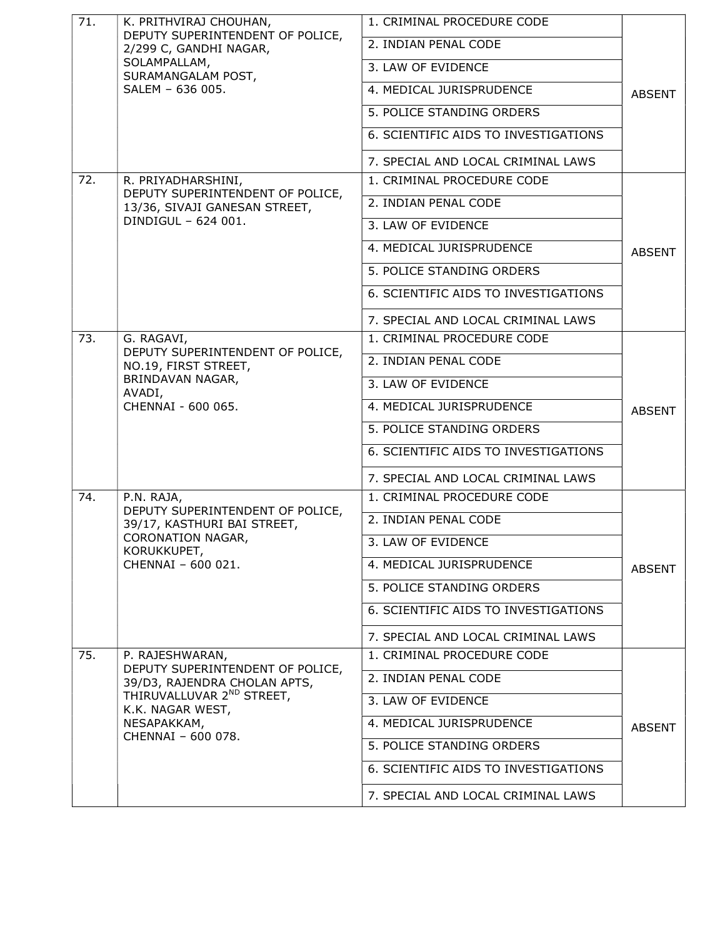| 71. | K. PRITHVIRAJ CHOUHAN,                                                                           | 1. CRIMINAL PROCEDURE CODE           |               |
|-----|--------------------------------------------------------------------------------------------------|--------------------------------------|---------------|
|     | DEPUTY SUPERINTENDENT OF POLICE,<br>2/299 C, GANDHI NAGAR,<br>SOLAMPALLAM,<br>SURAMANGALAM POST, | 2. INDIAN PENAL CODE                 |               |
|     |                                                                                                  | 3. LAW OF EVIDENCE                   |               |
|     | SALEM - 636 005.                                                                                 | 4. MEDICAL JURISPRUDENCE             | <b>ABSENT</b> |
|     |                                                                                                  | 5. POLICE STANDING ORDERS            |               |
|     |                                                                                                  | 6. SCIENTIFIC AIDS TO INVESTIGATIONS |               |
|     |                                                                                                  | 7. SPECIAL AND LOCAL CRIMINAL LAWS   |               |
| 72. | R. PRIYADHARSHINI,                                                                               | 1. CRIMINAL PROCEDURE CODE           |               |
|     | DEPUTY SUPERINTENDENT OF POLICE,<br>13/36, SIVAJI GANESAN STREET,                                | 2. INDIAN PENAL CODE                 |               |
|     | DINDIGUL - 624 001.                                                                              | 3. LAW OF EVIDENCE                   |               |
|     |                                                                                                  | 4. MEDICAL JURISPRUDENCE             | <b>ABSENT</b> |
|     |                                                                                                  | 5. POLICE STANDING ORDERS            |               |
|     |                                                                                                  | 6. SCIENTIFIC AIDS TO INVESTIGATIONS |               |
|     |                                                                                                  | 7. SPECIAL AND LOCAL CRIMINAL LAWS   |               |
| 73. | G. RAGAVI,                                                                                       | 1. CRIMINAL PROCEDURE CODE           |               |
|     | DEPUTY SUPERINTENDENT OF POLICE,<br>NO.19, FIRST STREET,                                         | 2. INDIAN PENAL CODE                 |               |
|     | BRINDAVAN NAGAR,<br>AVADI,                                                                       | 3. LAW OF EVIDENCE                   |               |
|     | CHENNAI - 600 065.                                                                               | 4. MEDICAL JURISPRUDENCE             | <b>ABSENT</b> |
|     |                                                                                                  | 5. POLICE STANDING ORDERS            |               |
|     |                                                                                                  | 6. SCIENTIFIC AIDS TO INVESTIGATIONS |               |
|     |                                                                                                  | 7. SPECIAL AND LOCAL CRIMINAL LAWS   |               |
| 74. | P.N. RAJA,                                                                                       | 1. CRIMINAL PROCEDURE CODE           |               |
|     | DEPUTY SUPERINTENDENT OF POLICE,<br>39/17, KASTHURI BAI STREET,                                  | 2. INDIAN PENAL CODE                 |               |
|     | CORONATION NAGAR,<br>KORUKKUPET,<br>CHENNAI - 600 021.                                           | 3. LAW OF EVIDENCE                   |               |
|     |                                                                                                  | 4. MEDICAL JURISPRUDENCE             | <b>ABSENT</b> |
|     |                                                                                                  | 5. POLICE STANDING ORDERS            |               |
|     |                                                                                                  | 6. SCIENTIFIC AIDS TO INVESTIGATIONS |               |
|     |                                                                                                  | 7. SPECIAL AND LOCAL CRIMINAL LAWS   |               |
| 75. | P. RAJESHWARAN,<br>DEPUTY SUPERINTENDENT OF POLICE,                                              | 1. CRIMINAL PROCEDURE CODE           |               |
|     | 39/D3, RAJENDRA CHOLAN APTS,                                                                     | 2. INDIAN PENAL CODE                 |               |
|     | THIRUVALLUVAR 2 <sup>ND</sup> STREET,<br>K.K. NAGAR WEST,                                        | 3. LAW OF EVIDENCE                   |               |
|     | NESAPAKKAM,                                                                                      | 4. MEDICAL JURISPRUDENCE             | <b>ABSENT</b> |
|     | CHENNAI - 600 078.                                                                               | 5. POLICE STANDING ORDERS            |               |
|     |                                                                                                  | 6. SCIENTIFIC AIDS TO INVESTIGATIONS |               |
|     |                                                                                                  | 7. SPECIAL AND LOCAL CRIMINAL LAWS   |               |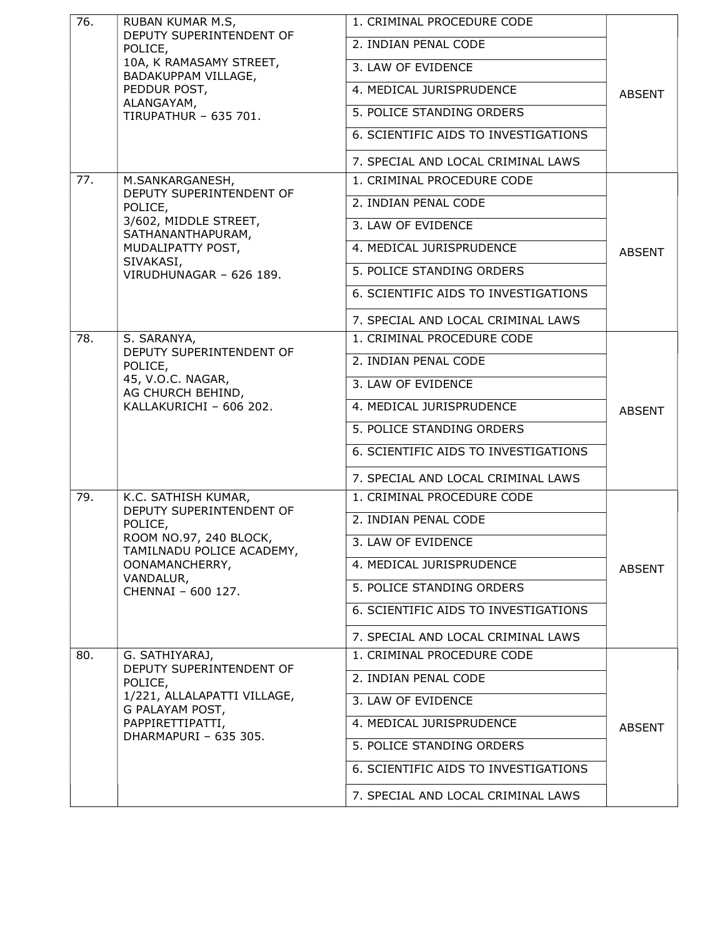| 76. | RUBAN KUMAR M.S,                                                                           | 1. CRIMINAL PROCEDURE CODE           |               |
|-----|--------------------------------------------------------------------------------------------|--------------------------------------|---------------|
|     | DEPUTY SUPERINTENDENT OF<br>POLICE,                                                        | 2. INDIAN PENAL CODE                 |               |
|     | 10A, K RAMASAMY STREET,                                                                    | 3. LAW OF EVIDENCE                   |               |
|     | BADAKUPPAM VILLAGE,<br>PEDDUR POST,                                                        | 4. MEDICAL JURISPRUDENCE             | <b>ABSENT</b> |
|     | ALANGAYAM,<br><b>TIRUPATHUR - 635 701.</b>                                                 | 5. POLICE STANDING ORDERS            |               |
|     |                                                                                            | 6. SCIENTIFIC AIDS TO INVESTIGATIONS |               |
|     |                                                                                            | 7. SPECIAL AND LOCAL CRIMINAL LAWS   |               |
| 77. | M.SANKARGANESH,                                                                            | 1. CRIMINAL PROCEDURE CODE           |               |
|     | DEPUTY SUPERINTENDENT OF<br>POLICE,                                                        | 2. INDIAN PENAL CODE                 |               |
|     | 3/602, MIDDLE STREET,<br>SATHANANTHAPURAM,                                                 | 3. LAW OF EVIDENCE                   |               |
|     | MUDALIPATTY POST,                                                                          | 4. MEDICAL JURISPRUDENCE             | <b>ABSENT</b> |
|     | SIVAKASI,<br>VIRUDHUNAGAR - 626 189.                                                       | 5. POLICE STANDING ORDERS            |               |
|     |                                                                                            | 6. SCIENTIFIC AIDS TO INVESTIGATIONS |               |
|     |                                                                                            | 7. SPECIAL AND LOCAL CRIMINAL LAWS   |               |
| 78. | S. SARANYA,                                                                                | 1. CRIMINAL PROCEDURE CODE           |               |
|     | DEPUTY SUPERINTENDENT OF<br>POLICE,                                                        | 2. INDIAN PENAL CODE                 |               |
|     | 45, V.O.C. NAGAR,<br>AG CHURCH BEHIND,                                                     | 3. LAW OF EVIDENCE                   |               |
|     | KALLAKURICHI - 606 202.                                                                    | 4. MEDICAL JURISPRUDENCE             | <b>ABSENT</b> |
|     |                                                                                            | 5. POLICE STANDING ORDERS            |               |
|     |                                                                                            | 6. SCIENTIFIC AIDS TO INVESTIGATIONS |               |
|     |                                                                                            | 7. SPECIAL AND LOCAL CRIMINAL LAWS   |               |
| 79. | K.C. SATHISH KUMAR,                                                                        | 1. CRIMINAL PROCEDURE CODE           |               |
|     | DEPUTY SUPERINTENDENT OF<br>POLICE,<br>ROOM NO.97, 240 BLOCK,<br>TAMILNADU POLICE ACADEMY, | 2. INDIAN PENAL CODE                 |               |
|     |                                                                                            | 3. LAW OF EVIDENCE                   | <b>ABSENT</b> |
|     | OONAMANCHERRY,                                                                             | 4. MEDICAL JURISPRUDENCE             |               |
|     | VANDALUR,<br>CHENNAI - 600 127.                                                            | 5. POLICE STANDING ORDERS            |               |
|     |                                                                                            | 6. SCIENTIFIC AIDS TO INVESTIGATIONS |               |
|     |                                                                                            | 7. SPECIAL AND LOCAL CRIMINAL LAWS   |               |
| 80. | G. SATHIYARAJ,<br>DEPUTY SUPERINTENDENT OF                                                 | 1. CRIMINAL PROCEDURE CODE           |               |
|     | POLICE,                                                                                    | 2. INDIAN PENAL CODE                 |               |
|     | 1/221, ALLALAPATTI VILLAGE,<br>G PALAYAM POST,                                             | 3. LAW OF EVIDENCE                   | <b>ABSENT</b> |
|     | PAPPIRETTIPATTI,<br>DHARMAPURI - 635 305.                                                  | 4. MEDICAL JURISPRUDENCE             |               |
|     |                                                                                            | 5. POLICE STANDING ORDERS            |               |
|     |                                                                                            | 6. SCIENTIFIC AIDS TO INVESTIGATIONS |               |
|     |                                                                                            | 7. SPECIAL AND LOCAL CRIMINAL LAWS   |               |
|     |                                                                                            |                                      |               |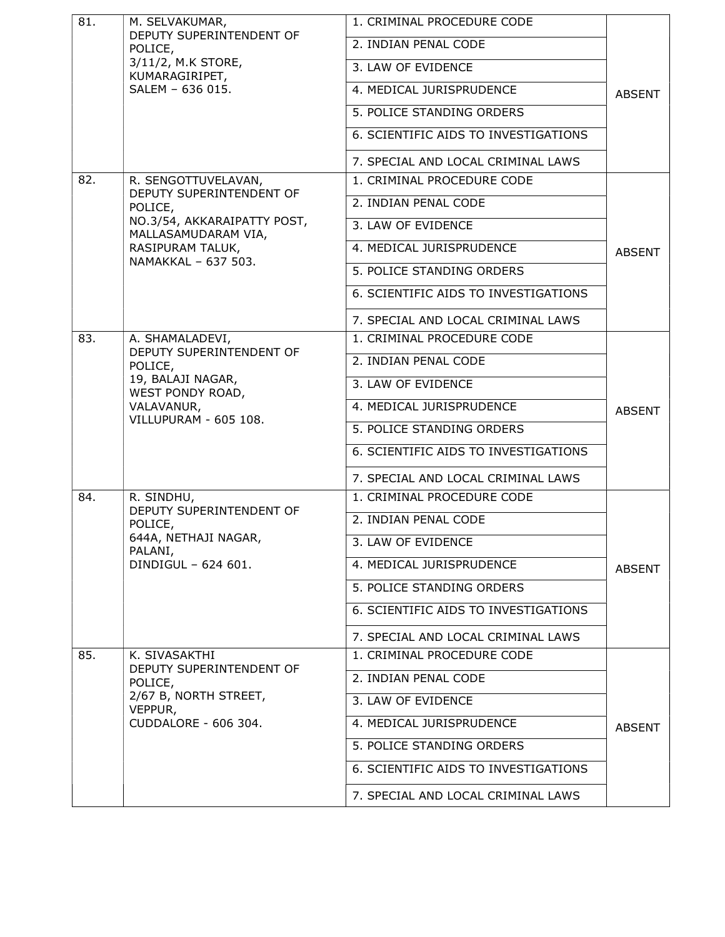| 81.     | M. SELVAKUMAR,                                                                                | 1. CRIMINAL PROCEDURE CODE           |               |
|---------|-----------------------------------------------------------------------------------------------|--------------------------------------|---------------|
|         | DEPUTY SUPERINTENDENT OF<br>POLICE,<br>3/11/2, M.K STORE,<br>KUMARAGIRIPET,                   | 2. INDIAN PENAL CODE                 |               |
|         |                                                                                               | 3. LAW OF EVIDENCE                   |               |
|         | SALEM - 636 015.                                                                              | 4. MEDICAL JURISPRUDENCE             | <b>ABSENT</b> |
|         |                                                                                               | 5. POLICE STANDING ORDERS            |               |
|         |                                                                                               | 6. SCIENTIFIC AIDS TO INVESTIGATIONS |               |
|         |                                                                                               | 7. SPECIAL AND LOCAL CRIMINAL LAWS   |               |
| 82.     | R. SENGOTTUVELAVAN,                                                                           | 1. CRIMINAL PROCEDURE CODE           |               |
| POLICE, | DEPUTY SUPERINTENDENT OF                                                                      | 2. INDIAN PENAL CODE                 |               |
|         | NO.3/54, AKKARAIPATTY POST,<br>MALLASAMUDARAM VIA,                                            | 3. LAW OF EVIDENCE                   |               |
|         | RASIPURAM TALUK,                                                                              | 4. MEDICAL JURISPRUDENCE             | <b>ABSENT</b> |
|         | NAMAKKAL - 637 503.                                                                           | 5. POLICE STANDING ORDERS            |               |
|         |                                                                                               | 6. SCIENTIFIC AIDS TO INVESTIGATIONS |               |
|         |                                                                                               | 7. SPECIAL AND LOCAL CRIMINAL LAWS   |               |
| 83.     | A. SHAMALADEVI,                                                                               | 1. CRIMINAL PROCEDURE CODE           |               |
|         | DEPUTY SUPERINTENDENT OF<br>POLICE,<br>19, BALAJI NAGAR,<br>WEST PONDY ROAD,                  | 2. INDIAN PENAL CODE                 |               |
|         |                                                                                               | 3. LAW OF EVIDENCE                   |               |
|         | VALAVANUR,                                                                                    | 4. MEDICAL JURISPRUDENCE             | <b>ABSENT</b> |
|         | VILLUPURAM - 605 108.                                                                         | 5. POLICE STANDING ORDERS            |               |
|         |                                                                                               | 6. SCIENTIFIC AIDS TO INVESTIGATIONS |               |
|         |                                                                                               | 7. SPECIAL AND LOCAL CRIMINAL LAWS   |               |
| 84.     | R. SINDHU,                                                                                    | 1. CRIMINAL PROCEDURE CODE           |               |
|         | DEPUTY SUPERINTENDENT OF<br>POLICE,<br>644A, NETHAJI NAGAR,<br>PALANI,<br>DINDIGUL - 624 601. | 2. INDIAN PENAL CODE                 |               |
|         |                                                                                               | 3. LAW OF EVIDENCE                   |               |
|         |                                                                                               | 4. MEDICAL JURISPRUDENCE             | <b>ABSENT</b> |
|         |                                                                                               | 5. POLICE STANDING ORDERS            |               |
|         |                                                                                               | 6. SCIENTIFIC AIDS TO INVESTIGATIONS |               |
|         |                                                                                               | 7. SPECIAL AND LOCAL CRIMINAL LAWS   |               |
| 85.     | K. SIVASAKTHI<br>DEPUTY SUPERINTENDENT OF                                                     | 1. CRIMINAL PROCEDURE CODE           |               |
|         | POLICE,                                                                                       | 2. INDIAN PENAL CODE                 |               |
|         | 2/67 B, NORTH STREET,<br>VEPPUR,                                                              | 3. LAW OF EVIDENCE                   |               |
|         | CUDDALORE - 606 304.                                                                          | 4. MEDICAL JURISPRUDENCE             | <b>ABSENT</b> |
|         |                                                                                               | 5. POLICE STANDING ORDERS            |               |
|         |                                                                                               | 6. SCIENTIFIC AIDS TO INVESTIGATIONS |               |
|         |                                                                                               | 7. SPECIAL AND LOCAL CRIMINAL LAWS   |               |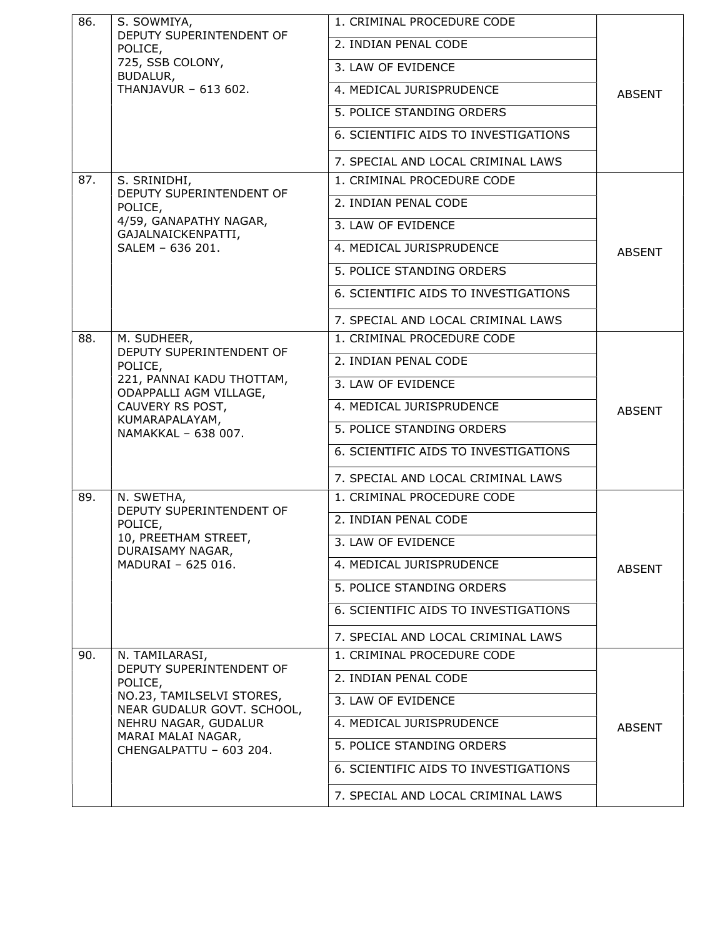| 86. | S. SOWMIYA,<br>DEPUTY SUPERINTENDENT OF                                                    | 1. CRIMINAL PROCEDURE CODE           |               |
|-----|--------------------------------------------------------------------------------------------|--------------------------------------|---------------|
|     | POLICE,<br>725, SSB COLONY,<br>BUDALUR,                                                    | 2. INDIAN PENAL CODE                 |               |
|     |                                                                                            | 3. LAW OF EVIDENCE                   |               |
|     | THANJAVUR - 613 602.                                                                       | 4. MEDICAL JURISPRUDENCE             | <b>ABSENT</b> |
|     |                                                                                            | 5. POLICE STANDING ORDERS            |               |
|     |                                                                                            | 6. SCIENTIFIC AIDS TO INVESTIGATIONS |               |
|     |                                                                                            | 7. SPECIAL AND LOCAL CRIMINAL LAWS   |               |
| 87. | S. SRINIDHI,<br>DEPUTY SUPERINTENDENT OF                                                   | 1. CRIMINAL PROCEDURE CODE           |               |
|     | POLICE,                                                                                    | 2. INDIAN PENAL CODE                 |               |
|     | 4/59, GANAPATHY NAGAR,<br>GAJALNAICKENPATTI,                                               | 3. LAW OF EVIDENCE                   |               |
|     | SALEM - 636 201.                                                                           | 4. MEDICAL JURISPRUDENCE             | <b>ABSENT</b> |
|     |                                                                                            | 5. POLICE STANDING ORDERS            |               |
|     |                                                                                            | 6. SCIENTIFIC AIDS TO INVESTIGATIONS |               |
|     |                                                                                            | 7. SPECIAL AND LOCAL CRIMINAL LAWS   |               |
| 88. | M. SUDHEER,                                                                                | 1. CRIMINAL PROCEDURE CODE           |               |
|     | DEPUTY SUPERINTENDENT OF<br>POLICE,<br>221, PANNAI KADU THOTTAM,<br>ODAPPALLI AGM VILLAGE, | 2. INDIAN PENAL CODE                 |               |
|     |                                                                                            | 3. LAW OF EVIDENCE                   |               |
|     | CAUVERY RS POST,                                                                           | 4. MEDICAL JURISPRUDENCE             | <b>ABSENT</b> |
|     | KUMARAPALAYAM,<br>NAMAKKAL - 638 007.                                                      | 5. POLICE STANDING ORDERS            |               |
|     |                                                                                            | 6. SCIENTIFIC AIDS TO INVESTIGATIONS |               |
|     |                                                                                            | 7. SPECIAL AND LOCAL CRIMINAL LAWS   |               |
| 89. | N. SWETHA,                                                                                 | 1. CRIMINAL PROCEDURE CODE           |               |
|     | DEPUTY SUPERINTENDENT OF<br>POLICE,                                                        | 2. INDIAN PENAL CODE                 |               |
|     | 10, PREETHAM STREET,<br>DURAISAMY NAGAR,                                                   | 3. LAW OF EVIDENCE                   |               |
|     | MADURAI - 625 016.                                                                         | 4. MEDICAL JURISPRUDENCE             | <b>ABSENT</b> |
|     |                                                                                            | 5. POLICE STANDING ORDERS            |               |
|     |                                                                                            | 6. SCIENTIFIC AIDS TO INVESTIGATIONS |               |
|     |                                                                                            | 7. SPECIAL AND LOCAL CRIMINAL LAWS   |               |
| 90. | N. TAMILARASI,                                                                             | 1. CRIMINAL PROCEDURE CODE           |               |
|     | DEPUTY SUPERINTENDENT OF<br>POLICE,                                                        | 2. INDIAN PENAL CODE                 |               |
|     | NO.23, TAMILSELVI STORES,<br>NEAR GUDALUR GOVT. SCHOOL,                                    | 3. LAW OF EVIDENCE                   |               |
|     | NEHRU NAGAR, GUDALUR                                                                       | 4. MEDICAL JURISPRUDENCE             | <b>ABSENT</b> |
|     | MARAI MALAI NAGAR,<br>CHENGALPATTU - 603 204.                                              | 5. POLICE STANDING ORDERS            |               |
|     |                                                                                            | 6. SCIENTIFIC AIDS TO INVESTIGATIONS |               |
|     |                                                                                            | 7. SPECIAL AND LOCAL CRIMINAL LAWS   |               |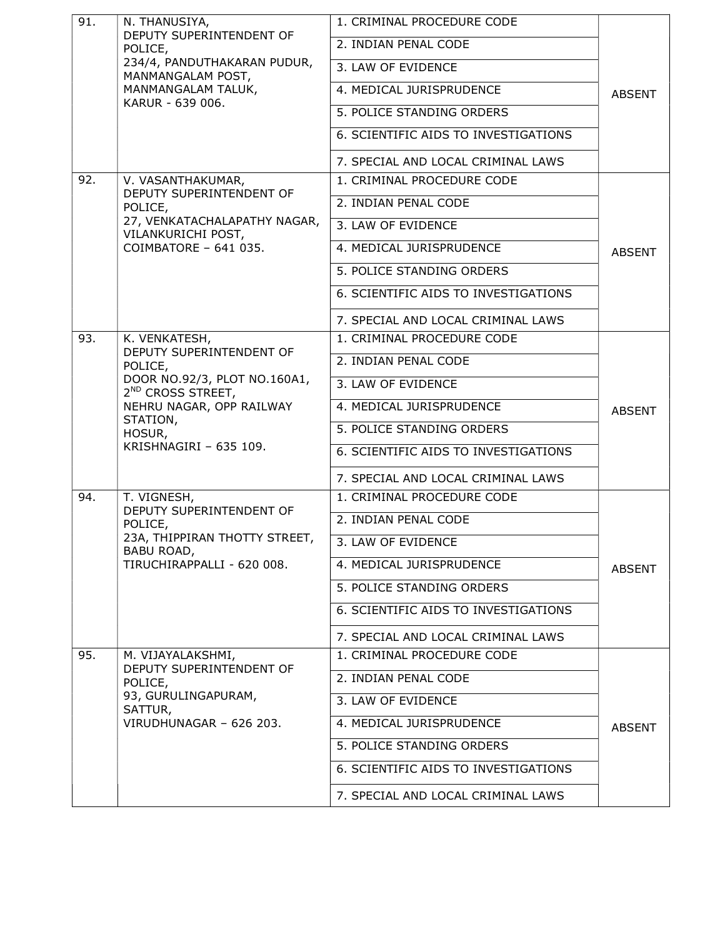| DEPUTY SUPERINTENDENT OF<br>2. INDIAN PENAL CODE<br>POLICE,<br>234/4, PANDUTHAKARAN PUDUR,<br>3. LAW OF EVIDENCE<br>MANMANGALAM POST,<br>MANMANGALAM TALUK,<br>4. MEDICAL JURISPRUDENCE<br><b>ABSENT</b><br>KARUR - 639 006.<br>5. POLICE STANDING ORDERS<br>6. SCIENTIFIC AIDS TO INVESTIGATIONS<br>7. SPECIAL AND LOCAL CRIMINAL LAWS<br>92.<br>1. CRIMINAL PROCEDURE CODE<br>V. VASANTHAKUMAR,<br>DEPUTY SUPERINTENDENT OF<br>2. INDIAN PENAL CODE<br>POLICE,<br>27, VENKATACHALAPATHY NAGAR,<br>3. LAW OF EVIDENCE<br>VILANKURICHI POST,<br>COIMBATORE - 641 035.<br>4. MEDICAL JURISPRUDENCE<br><b>ABSENT</b><br>5. POLICE STANDING ORDERS<br>6. SCIENTIFIC AIDS TO INVESTIGATIONS<br>7. SPECIAL AND LOCAL CRIMINAL LAWS<br>93.<br>K. VENKATESH,<br>1. CRIMINAL PROCEDURE CODE<br>DEPUTY SUPERINTENDENT OF<br>2. INDIAN PENAL CODE<br>POLICE,<br>DOOR NO.92/3, PLOT NO.160A1,<br>3. LAW OF EVIDENCE<br>2 <sup>ND</sup> CROSS STREET,<br>NEHRU NAGAR, OPP RAILWAY<br>4. MEDICAL JURISPRUDENCE<br><b>ABSENT</b><br>STATION,<br>5. POLICE STANDING ORDERS<br>HOSUR,<br>KRISHNAGIRI - 635 109.<br>6. SCIENTIFIC AIDS TO INVESTIGATIONS<br>7. SPECIAL AND LOCAL CRIMINAL LAWS<br>94.<br>T. VIGNESH,<br>1. CRIMINAL PROCEDURE CODE<br>DEPUTY SUPERINTENDENT OF<br>2. INDIAN PENAL CODE<br>POLICE,<br>23A, THIPPIRAN THOTTY STREET,<br>3. LAW OF EVIDENCE<br>BABU ROAD,<br>TIRUCHIRAPPALLI - 620 008.<br>4. MEDICAL JURISPRUDENCE<br><b>ABSENT</b><br>5. POLICE STANDING ORDERS<br>6. SCIENTIFIC AIDS TO INVESTIGATIONS<br>7. SPECIAL AND LOCAL CRIMINAL LAWS<br>95.<br>1. CRIMINAL PROCEDURE CODE<br>M. VIJAYALAKSHMI,<br>DEPUTY SUPERINTENDENT OF<br>2. INDIAN PENAL CODE<br>POLICE,<br>93, GURULINGAPURAM,<br>3. LAW OF EVIDENCE<br>SATTUR,<br>VIRUDHUNAGAR - 626 203.<br>4. MEDICAL JURISPRUDENCE<br><b>ABSENT</b><br>5. POLICE STANDING ORDERS<br>6. SCIENTIFIC AIDS TO INVESTIGATIONS | 91. | N. THANUSIYA, | 1. CRIMINAL PROCEDURE CODE |  |
|-------------------------------------------------------------------------------------------------------------------------------------------------------------------------------------------------------------------------------------------------------------------------------------------------------------------------------------------------------------------------------------------------------------------------------------------------------------------------------------------------------------------------------------------------------------------------------------------------------------------------------------------------------------------------------------------------------------------------------------------------------------------------------------------------------------------------------------------------------------------------------------------------------------------------------------------------------------------------------------------------------------------------------------------------------------------------------------------------------------------------------------------------------------------------------------------------------------------------------------------------------------------------------------------------------------------------------------------------------------------------------------------------------------------------------------------------------------------------------------------------------------------------------------------------------------------------------------------------------------------------------------------------------------------------------------------------------------------------------------------------------------------------------------------------------------------------------------------------------------------------------------------|-----|---------------|----------------------------|--|
|                                                                                                                                                                                                                                                                                                                                                                                                                                                                                                                                                                                                                                                                                                                                                                                                                                                                                                                                                                                                                                                                                                                                                                                                                                                                                                                                                                                                                                                                                                                                                                                                                                                                                                                                                                                                                                                                                           |     |               |                            |  |
|                                                                                                                                                                                                                                                                                                                                                                                                                                                                                                                                                                                                                                                                                                                                                                                                                                                                                                                                                                                                                                                                                                                                                                                                                                                                                                                                                                                                                                                                                                                                                                                                                                                                                                                                                                                                                                                                                           |     |               |                            |  |
|                                                                                                                                                                                                                                                                                                                                                                                                                                                                                                                                                                                                                                                                                                                                                                                                                                                                                                                                                                                                                                                                                                                                                                                                                                                                                                                                                                                                                                                                                                                                                                                                                                                                                                                                                                                                                                                                                           |     |               |                            |  |
|                                                                                                                                                                                                                                                                                                                                                                                                                                                                                                                                                                                                                                                                                                                                                                                                                                                                                                                                                                                                                                                                                                                                                                                                                                                                                                                                                                                                                                                                                                                                                                                                                                                                                                                                                                                                                                                                                           |     |               |                            |  |
|                                                                                                                                                                                                                                                                                                                                                                                                                                                                                                                                                                                                                                                                                                                                                                                                                                                                                                                                                                                                                                                                                                                                                                                                                                                                                                                                                                                                                                                                                                                                                                                                                                                                                                                                                                                                                                                                                           |     |               |                            |  |
|                                                                                                                                                                                                                                                                                                                                                                                                                                                                                                                                                                                                                                                                                                                                                                                                                                                                                                                                                                                                                                                                                                                                                                                                                                                                                                                                                                                                                                                                                                                                                                                                                                                                                                                                                                                                                                                                                           |     |               |                            |  |
|                                                                                                                                                                                                                                                                                                                                                                                                                                                                                                                                                                                                                                                                                                                                                                                                                                                                                                                                                                                                                                                                                                                                                                                                                                                                                                                                                                                                                                                                                                                                                                                                                                                                                                                                                                                                                                                                                           |     |               |                            |  |
|                                                                                                                                                                                                                                                                                                                                                                                                                                                                                                                                                                                                                                                                                                                                                                                                                                                                                                                                                                                                                                                                                                                                                                                                                                                                                                                                                                                                                                                                                                                                                                                                                                                                                                                                                                                                                                                                                           |     |               |                            |  |
|                                                                                                                                                                                                                                                                                                                                                                                                                                                                                                                                                                                                                                                                                                                                                                                                                                                                                                                                                                                                                                                                                                                                                                                                                                                                                                                                                                                                                                                                                                                                                                                                                                                                                                                                                                                                                                                                                           |     |               |                            |  |
|                                                                                                                                                                                                                                                                                                                                                                                                                                                                                                                                                                                                                                                                                                                                                                                                                                                                                                                                                                                                                                                                                                                                                                                                                                                                                                                                                                                                                                                                                                                                                                                                                                                                                                                                                                                                                                                                                           |     |               |                            |  |
|                                                                                                                                                                                                                                                                                                                                                                                                                                                                                                                                                                                                                                                                                                                                                                                                                                                                                                                                                                                                                                                                                                                                                                                                                                                                                                                                                                                                                                                                                                                                                                                                                                                                                                                                                                                                                                                                                           |     |               |                            |  |
|                                                                                                                                                                                                                                                                                                                                                                                                                                                                                                                                                                                                                                                                                                                                                                                                                                                                                                                                                                                                                                                                                                                                                                                                                                                                                                                                                                                                                                                                                                                                                                                                                                                                                                                                                                                                                                                                                           |     |               |                            |  |
|                                                                                                                                                                                                                                                                                                                                                                                                                                                                                                                                                                                                                                                                                                                                                                                                                                                                                                                                                                                                                                                                                                                                                                                                                                                                                                                                                                                                                                                                                                                                                                                                                                                                                                                                                                                                                                                                                           |     |               |                            |  |
|                                                                                                                                                                                                                                                                                                                                                                                                                                                                                                                                                                                                                                                                                                                                                                                                                                                                                                                                                                                                                                                                                                                                                                                                                                                                                                                                                                                                                                                                                                                                                                                                                                                                                                                                                                                                                                                                                           |     |               |                            |  |
|                                                                                                                                                                                                                                                                                                                                                                                                                                                                                                                                                                                                                                                                                                                                                                                                                                                                                                                                                                                                                                                                                                                                                                                                                                                                                                                                                                                                                                                                                                                                                                                                                                                                                                                                                                                                                                                                                           |     |               |                            |  |
|                                                                                                                                                                                                                                                                                                                                                                                                                                                                                                                                                                                                                                                                                                                                                                                                                                                                                                                                                                                                                                                                                                                                                                                                                                                                                                                                                                                                                                                                                                                                                                                                                                                                                                                                                                                                                                                                                           |     |               |                            |  |
|                                                                                                                                                                                                                                                                                                                                                                                                                                                                                                                                                                                                                                                                                                                                                                                                                                                                                                                                                                                                                                                                                                                                                                                                                                                                                                                                                                                                                                                                                                                                                                                                                                                                                                                                                                                                                                                                                           |     |               |                            |  |
|                                                                                                                                                                                                                                                                                                                                                                                                                                                                                                                                                                                                                                                                                                                                                                                                                                                                                                                                                                                                                                                                                                                                                                                                                                                                                                                                                                                                                                                                                                                                                                                                                                                                                                                                                                                                                                                                                           |     |               |                            |  |
|                                                                                                                                                                                                                                                                                                                                                                                                                                                                                                                                                                                                                                                                                                                                                                                                                                                                                                                                                                                                                                                                                                                                                                                                                                                                                                                                                                                                                                                                                                                                                                                                                                                                                                                                                                                                                                                                                           |     |               |                            |  |
|                                                                                                                                                                                                                                                                                                                                                                                                                                                                                                                                                                                                                                                                                                                                                                                                                                                                                                                                                                                                                                                                                                                                                                                                                                                                                                                                                                                                                                                                                                                                                                                                                                                                                                                                                                                                                                                                                           |     |               |                            |  |
|                                                                                                                                                                                                                                                                                                                                                                                                                                                                                                                                                                                                                                                                                                                                                                                                                                                                                                                                                                                                                                                                                                                                                                                                                                                                                                                                                                                                                                                                                                                                                                                                                                                                                                                                                                                                                                                                                           |     |               |                            |  |
|                                                                                                                                                                                                                                                                                                                                                                                                                                                                                                                                                                                                                                                                                                                                                                                                                                                                                                                                                                                                                                                                                                                                                                                                                                                                                                                                                                                                                                                                                                                                                                                                                                                                                                                                                                                                                                                                                           |     |               |                            |  |
|                                                                                                                                                                                                                                                                                                                                                                                                                                                                                                                                                                                                                                                                                                                                                                                                                                                                                                                                                                                                                                                                                                                                                                                                                                                                                                                                                                                                                                                                                                                                                                                                                                                                                                                                                                                                                                                                                           |     |               |                            |  |
|                                                                                                                                                                                                                                                                                                                                                                                                                                                                                                                                                                                                                                                                                                                                                                                                                                                                                                                                                                                                                                                                                                                                                                                                                                                                                                                                                                                                                                                                                                                                                                                                                                                                                                                                                                                                                                                                                           |     |               |                            |  |
|                                                                                                                                                                                                                                                                                                                                                                                                                                                                                                                                                                                                                                                                                                                                                                                                                                                                                                                                                                                                                                                                                                                                                                                                                                                                                                                                                                                                                                                                                                                                                                                                                                                                                                                                                                                                                                                                                           |     |               |                            |  |
|                                                                                                                                                                                                                                                                                                                                                                                                                                                                                                                                                                                                                                                                                                                                                                                                                                                                                                                                                                                                                                                                                                                                                                                                                                                                                                                                                                                                                                                                                                                                                                                                                                                                                                                                                                                                                                                                                           |     |               |                            |  |
|                                                                                                                                                                                                                                                                                                                                                                                                                                                                                                                                                                                                                                                                                                                                                                                                                                                                                                                                                                                                                                                                                                                                                                                                                                                                                                                                                                                                                                                                                                                                                                                                                                                                                                                                                                                                                                                                                           |     |               |                            |  |
|                                                                                                                                                                                                                                                                                                                                                                                                                                                                                                                                                                                                                                                                                                                                                                                                                                                                                                                                                                                                                                                                                                                                                                                                                                                                                                                                                                                                                                                                                                                                                                                                                                                                                                                                                                                                                                                                                           |     |               |                            |  |
|                                                                                                                                                                                                                                                                                                                                                                                                                                                                                                                                                                                                                                                                                                                                                                                                                                                                                                                                                                                                                                                                                                                                                                                                                                                                                                                                                                                                                                                                                                                                                                                                                                                                                                                                                                                                                                                                                           |     |               |                            |  |
|                                                                                                                                                                                                                                                                                                                                                                                                                                                                                                                                                                                                                                                                                                                                                                                                                                                                                                                                                                                                                                                                                                                                                                                                                                                                                                                                                                                                                                                                                                                                                                                                                                                                                                                                                                                                                                                                                           |     |               |                            |  |
|                                                                                                                                                                                                                                                                                                                                                                                                                                                                                                                                                                                                                                                                                                                                                                                                                                                                                                                                                                                                                                                                                                                                                                                                                                                                                                                                                                                                                                                                                                                                                                                                                                                                                                                                                                                                                                                                                           |     |               |                            |  |
|                                                                                                                                                                                                                                                                                                                                                                                                                                                                                                                                                                                                                                                                                                                                                                                                                                                                                                                                                                                                                                                                                                                                                                                                                                                                                                                                                                                                                                                                                                                                                                                                                                                                                                                                                                                                                                                                                           |     |               |                            |  |
|                                                                                                                                                                                                                                                                                                                                                                                                                                                                                                                                                                                                                                                                                                                                                                                                                                                                                                                                                                                                                                                                                                                                                                                                                                                                                                                                                                                                                                                                                                                                                                                                                                                                                                                                                                                                                                                                                           |     |               |                            |  |
| 7. SPECIAL AND LOCAL CRIMINAL LAWS                                                                                                                                                                                                                                                                                                                                                                                                                                                                                                                                                                                                                                                                                                                                                                                                                                                                                                                                                                                                                                                                                                                                                                                                                                                                                                                                                                                                                                                                                                                                                                                                                                                                                                                                                                                                                                                        |     |               |                            |  |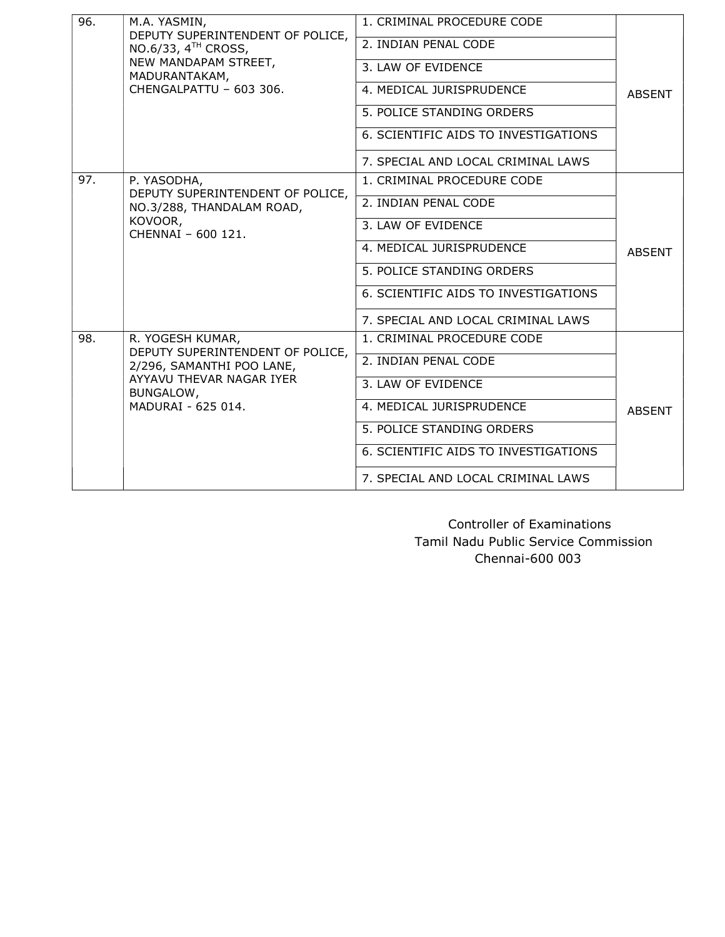| 96. | M.A. YASMIN,<br>DEPUTY SUPERINTENDENT OF POLICE,<br>NO.6/33, $4TH$ CROSS,<br>NEW MANDAPAM STREET,<br>MADURANTAKAM,<br>CHENGAI PATTU - 603 306.   | 1. CRIMINAL PROCEDURE CODE           | <b>ABSENT</b> |
|-----|--------------------------------------------------------------------------------------------------------------------------------------------------|--------------------------------------|---------------|
|     |                                                                                                                                                  | 2. INDIAN PENAL CODE                 |               |
|     |                                                                                                                                                  | 3. LAW OF EVIDENCE                   |               |
|     |                                                                                                                                                  | 4. MEDICAL JURISPRUDENCE             |               |
|     |                                                                                                                                                  | 5. POLICE STANDING ORDERS            |               |
|     |                                                                                                                                                  | 6. SCIENTIFIC AIDS TO INVESTIGATIONS |               |
|     |                                                                                                                                                  | 7. SPECIAL AND LOCAL CRIMINAL LAWS   |               |
| 97. | P. YASODHA,<br>DEPUTY SUPERINTENDENT OF POLICE,<br>NO.3/288, THANDALAM ROAD,<br>KOVOOR,<br>CHENNAI - 600 121.                                    | 1. CRIMINAL PROCEDURE CODE           | <b>ABSENT</b> |
|     |                                                                                                                                                  | 2. INDIAN PENAL CODE                 |               |
|     |                                                                                                                                                  | 3. LAW OF EVIDENCE                   |               |
|     |                                                                                                                                                  | 4. MEDICAL JURISPRUDENCE             |               |
|     |                                                                                                                                                  | 5. POLICE STANDING ORDERS            |               |
|     |                                                                                                                                                  | 6. SCIENTIFIC AIDS TO INVESTIGATIONS |               |
|     |                                                                                                                                                  | 7. SPECIAL AND LOCAL CRIMINAL LAWS   |               |
| 98. | R. YOGESH KUMAR,<br>DEPUTY SUPERINTENDENT OF POLICE,<br>2/296, SAMANTHI POO LANE,<br>AYYAVU THEVAR NAGAR IYER<br>BUNGALOW,<br>MADURAI - 625 014. | 1. CRIMINAL PROCEDURE CODE           |               |
|     |                                                                                                                                                  | 2. INDIAN PENAL CODE                 |               |
|     |                                                                                                                                                  | 3. LAW OF EVIDENCE                   | <b>ABSENT</b> |
|     |                                                                                                                                                  | 4. MEDICAL JURISPRUDENCE             |               |
|     |                                                                                                                                                  | 5. POLICE STANDING ORDERS            |               |
|     |                                                                                                                                                  | 6. SCIENTIFIC AIDS TO INVESTIGATIONS |               |
|     |                                                                                                                                                  | 7. SPECIAL AND LOCAL CRIMINAL LAWS   |               |

 Controller of Examinations Tamil Nadu Public Service Commission Chennai-600 003